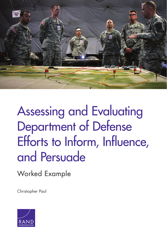

# Assessing and Evaluating Department of Defense [Efforts to Inform, Influence,](http://www.rand.org/pubs/research_reports/RR809z4.html)  and Persuade

Worked Example

Christopher Paul

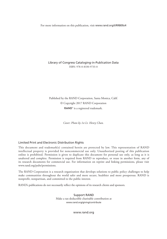For more information on this publication, visit [www.rand.org/t/RR809z4](http://www.rand.org/t/RR809z4)

Library of Congress Cataloging-in-Publication Data ISBN: 978-0-8330-9733-0

Published by the RAND Corporation, Santa Monica, Calif. © Copyright 2017 RAND Corporation RAND<sup>®</sup> is a registered trademark.

*Cover: Photo by 1st Lt. Henry Chan.*

#### Limited Print and Electronic Distribution Rights

This document and trademark(s) contained herein are protected by law. This representation of RAND intellectual property is provided for noncommercial use only. Unauthorized posting of this publication online is prohibited. Permission is given to duplicate this document for personal use only, as long as it is unaltered and complete. Permission is required from RAND to reproduce, or reuse in another form, any of its research documents for commercial use. For information on reprint and linking permissions, please visit [www.rand.org/pubs/permissions.](http://www.rand.org/pubs/permissions)

The RAND Corporation is a research organization that develops solutions to public policy challenges to help make communities throughout the world safer and more secure, healthier and more prosperous. RAND is nonprofit, nonpartisan, and committed to the public interest.

RAND's publications do not necessarily reflect the opinions of its research clients and sponsors.

Support RAND Make a tax-deductible charitable contribution at [www.rand.org/giving/contribute](http://www.rand.org/giving/contribute)

[www.rand.org](http://www.rand.org)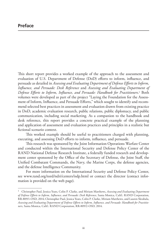# **Preface**

This short report provides a worked example of the approach to the assessment and evaluation of U.S. Department of Defense (DoD) efforts to inform, influence, and persuade as detailed in *Assessing and Evaluating Department of Defense Efforts to Inform, Influence, and Persuade: Desk Reference* and *Assessing and Evaluating Department of Defense Efforts to Inform, Influence, and Persuade: Handbook for Practitioners*. 1 Both volumes were developed as part of the project "Laying the Foundation for the Assessment of Inform, Influence, and Persuade Efforts," which sought to identify and recommend selected best practices in assessment and evaluation drawn from existing practice in DoD, academic evaluation research, public relations, public diplomacy, and public communication, including social marketing. As a companion to the handbook and desk reference, this report provides a concrete practical example of the planning and application of assessment and evaluation practices and principles in a realistic but fictional scenario context.

This worked example should be useful to practitioners charged with planning, executing, and assessing DoD efforts to inform, influence, and persuade.

This research was sponsored by the Joint Information Operations Warfare Center and conducted within the International Security and Defense Policy Center of the RAND National Defense Research Institute, a federally funded research and development center sponsored by the Office of the Secretary of Defense, the Joint Staff, the Unified Combatant Commands, the Navy, the Marine Corps, the defense agencies, and the defense Intelligence Community.

For more information on the International Security and Defense Policy Center, see [www.rand.org/nsrd/ndri/centers/isdp.html](http://www.rand.org/nsrd/ndri/centers/isdp.html) or contact the director (contact information is provided on the web page).

<sup>1</sup> Christopher Paul, Jessica Yeats, Colin P. Clarke, and Miriam Matthews, *Assessing and Evaluating Department of Defense Efforts to Inform, Influence, and Persuade: Desk Reference*, Santa Monica, Calif.: RAND Corporation, RR-809/1-OSD, 2014; Christopher Paul, Jessica Yeats, Colin P. Clarke, Miriam Matthews, and Lauren Skrabala, *Assessing and Evaluating Department of Defense Efforts to Inform, Influence, and Persuade: Handbook for Practitioners*, Santa Monica, Calif.: RAND Corporation, RR-809/2-OSD, 2014.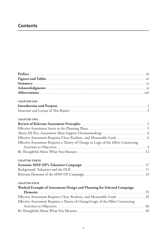# **Contents**

| <b>CHAPTER ONE</b><br><b>CHAPTER TWO</b><br>Effective Assessment Requires Clear, Realistic, and Measurable Goals  6<br>Effective Assessment Requires a Theory of Change or Logic of the Effort Connecting<br><b>CHAPTER THREE</b><br><b>CHAPTER FOUR</b><br>Worked Example of Assessment Design and Planning for Selected Campaign<br>Effective Assessment Requires a Theory of Change/Logic of the Effort Connecting |  |
|-----------------------------------------------------------------------------------------------------------------------------------------------------------------------------------------------------------------------------------------------------------------------------------------------------------------------------------------------------------------------------------------------------------------------|--|
|                                                                                                                                                                                                                                                                                                                                                                                                                       |  |
|                                                                                                                                                                                                                                                                                                                                                                                                                       |  |
|                                                                                                                                                                                                                                                                                                                                                                                                                       |  |
|                                                                                                                                                                                                                                                                                                                                                                                                                       |  |
|                                                                                                                                                                                                                                                                                                                                                                                                                       |  |
|                                                                                                                                                                                                                                                                                                                                                                                                                       |  |
|                                                                                                                                                                                                                                                                                                                                                                                                                       |  |
|                                                                                                                                                                                                                                                                                                                                                                                                                       |  |
|                                                                                                                                                                                                                                                                                                                                                                                                                       |  |
|                                                                                                                                                                                                                                                                                                                                                                                                                       |  |
|                                                                                                                                                                                                                                                                                                                                                                                                                       |  |
|                                                                                                                                                                                                                                                                                                                                                                                                                       |  |
|                                                                                                                                                                                                                                                                                                                                                                                                                       |  |
|                                                                                                                                                                                                                                                                                                                                                                                                                       |  |
|                                                                                                                                                                                                                                                                                                                                                                                                                       |  |
|                                                                                                                                                                                                                                                                                                                                                                                                                       |  |
|                                                                                                                                                                                                                                                                                                                                                                                                                       |  |
|                                                                                                                                                                                                                                                                                                                                                                                                                       |  |
|                                                                                                                                                                                                                                                                                                                                                                                                                       |  |
|                                                                                                                                                                                                                                                                                                                                                                                                                       |  |
|                                                                                                                                                                                                                                                                                                                                                                                                                       |  |
|                                                                                                                                                                                                                                                                                                                                                                                                                       |  |
|                                                                                                                                                                                                                                                                                                                                                                                                                       |  |
|                                                                                                                                                                                                                                                                                                                                                                                                                       |  |
|                                                                                                                                                                                                                                                                                                                                                                                                                       |  |
|                                                                                                                                                                                                                                                                                                                                                                                                                       |  |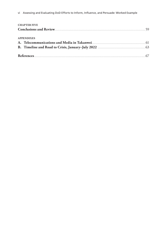| <b>CHAPTER FIVE</b> |  |
|---------------------|--|
|                     |  |
| <b>APPENDIXES</b>   |  |
|                     |  |
|                     |  |
|                     |  |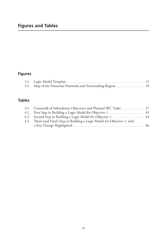# **Figures**

| 3.1. Map of the Dunarian Peninsula and Surrounding Region 18 |  |
|--------------------------------------------------------------|--|

# **Tables**

| 4.3. Third (and Final) Step in Building a Logic Model for Objective 1, with |  |
|-----------------------------------------------------------------------------|--|
|                                                                             |  |
|                                                                             |  |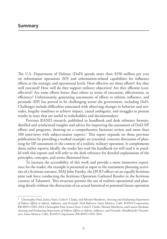The U.S. Department of Defense (DoD) spends more than \$250 million per year on information operations (IO) and information-related capabilities for influence efforts at the strategic and operational levels. How effective are those efforts? Are they well executed? How well do they support military objectives? Are they efficient (costeffective)? Are some efforts better than others in terms of execution, effectiveness, or efficiency? Unfortunately, generating assessments of efforts to inform, influence, and persuade (IIP) has proved to be challenging across the government, including DoD. Challenges include difficulties associated with observing changes in behavior and attitudes, lengthy timelines to achieve impact, causal ambiguity, and struggles to present results in ways that are useful to stakeholders and decisionmakers.

Previous RAND research, published in handbook and desk reference formats, distilled and synthesized insights and advice for improving the assessment of DoD IIP efforts and programs, drawing on a comprehensive literature review and more than 100 interviews with subject-matter experts.2 This report expands on those previous publications by providing a worked example: an extended, concrete discussion of planning for IIP assessment in the context of a realistic military operation. It complements those earlier reports; ideally, the reader has read the handbook (or will read it in parallel with this report) and will refer to the desk reference for detailed explanations of the principles, concepts, and terms illustrated here.

To increase the accessibility of this work and provide a more immersive experience for the reader, the example is presented as input to the assessment planning activities of a fictitious narrator, MAJ John Fnorky, the J39 IO officer on an equally fictitious joint task force conducting the fictitious Operation Gathered Resolve in the fictitious country of Takanwei. This structure permits the use of realistic operational and planning details without the distraction of an actual historical or potential future operation

<sup>2</sup> Christopher Paul, Jessica Yeats, Colin P. Clarke, and Miriam Matthews, *Assessing and Evaluating Department of Defense Efforts to Inform, Influence, and Persuade: Desk Reference*, Santa Monica, Calif.: RAND Corporation, RR-809/1-OSD, 2014; Christopher Paul, Jessica Yeats, Colin P. Clarke, Miriam Matthews, and Lauren Skrabala, *Assessing and Evaluating Department of Defense Efforts to Inform, Influence, and Persuade: Handbook for Practitioners*, Santa Monica, Calif.: RAND Corporation, RR-809/2-OSD, 2014.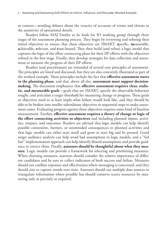or context—avoiding debates about the veracity of accounts of events and threats to the sensitivity of operational details.

Readers follow MAJ Fnorky as he leads his IO working group through three stages of the assessment planning process. They begin by reviewing and refining their initial objectives to ensure that these objectives are SMART: **s**pecific, **m**easurable, **a**chievable, **r**elevant, and **t**ime-bound. They then build (and refine) a logic model that captures the logic of the effort connecting plans for their IIP efforts with the objectives refined in the first stage. Finally, they develop strategies for data collection and assessment to measure the progress of their IIP efforts.

Readers (and practitioners) are reminded of several core principles of assessment. The principles are listed and discussed, but they are also concretely illustrated as part of the worked example. These principles include the fact that **effective assessment starts in the planning phase**, and that, above all else, **assessment must support decisionmaking**. The discussion emphasizes that **effective assessment requires clear, realistic, and measurable goals**—goals that are SMART, specify the observable behaviors sought, and articulate a target threshold for measuring change or progress. These goals or objectives need to at least imply what failure would look like, and they should be able to be broken into smaller subordinate objectives or sequential steps to make assessment easier. Evaluating progress against these objectives requires some kind of baseline measurement. Further, **effective assessment requires a theory of change or logic of the effort connecting activities to objectives** and including planned inputs, activities, outputs, and outcomes. Readers are advised that logic models can help identify possible constraints, barriers, or unintended consequences to planned activities and that logic models can either start small and grow or start big and be pruned. Good target audience analysis can help avoid bad assumptions in logic models, and a "fail fast" implementation approach can help identify flawed assumptions and provide guidance to correct them. Finally, **assessors should be thoughtful about what they measure**. Logic models can provide a framework for selecting and prioritizing measures. When choosing measures, assessors should consider the relative importance of different candidates and be sure to collect indicators of both success and failure. Measures should not conflate exposure and effectiveness where messaging is concerned, and they should aim to capture trends over time. Assessors should use multiple data sources to triangulate information where possible but should conserve scarce resources by measuring only as precisely as required.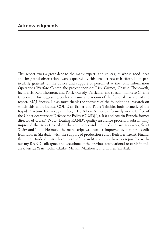This report owes a great debt to the many experts and colleagues whose good ideas and insightful observations were captured by this broader research effort. I am particularly grateful for the advice and support of personnel at the Joint Information Operations Warfare Center, the project sponsor: Rick Grimes, Charlie Chenoweth, Jay Harris, Ron Thornton, and Patrick Grady. Particular and special thanks to Charlie Chenoweth for suggesting both the name and notion of the fictional narrator of the report, MAJ Fnorky. I also must thank the sponsors of the foundational research on which this effort builds, COL Dan Ermer and Paula Trimble, both formerly of the Rapid Reaction Technology Office; LTC Albert Armonda, formerly in the Office of the Under Secretary of Defense for Policy (OUSD[P]), IO; and Austin Branch, former director of OUSD(P) IO. During RAND's quality assurance process, I substantially improved this report based on the comments and input of the two reviewers, Scott Savitz and Todd Helmus. The manuscript was further improved by a vigorous edit from Lauren Skrabala (with the support of production editor Beth Bernstein). Finally, this report (indeed, this whole stream of research) would not have been possible without my RAND colleagues and coauthors of the previous foundational research in this area: Jessica Yeats, Colin Clarke, Miriam Matthews, and Lauren Skrabala.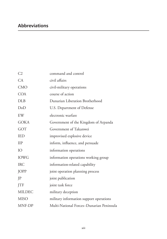| C <sub>2</sub> | command and control                      |
|----------------|------------------------------------------|
| CA             | civil affairs                            |
| <b>CMO</b>     | civil-military operations                |
| <b>COA</b>     | course of action                         |
| <b>DLB</b>     | Dunarian Liberation Brotherhood          |
| DoD            | U.S. Department of Defense               |
| EW             | electronic warfare                       |
| <b>GOKA</b>    | Government of the Kingdom of Arpanda     |
| GOT            | Government of Takanwei                   |
| <b>IED</b>     | improvised explosive device              |
| $_{\rm IIP}$   | inform, influence, and persuade          |
| IO             | information operations                   |
| <b>IOWG</b>    | information operations working group     |
| <b>IRC</b>     | information-related capability           |
| <b>JOPP</b>    | joint operation planning process         |
| JP             | joint publication                        |
| JTF            | joint task force                         |
| <b>MILDEC</b>  | military deception                       |
| <b>MISO</b>    | military information support operations  |
| MNF-DP         | Multi-National Forces-Dunarian Peninsula |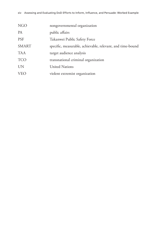| <b>NGO</b>   | nongovernmental organization                               |
|--------------|------------------------------------------------------------|
| <b>PA</b>    | public affairs                                             |
| <b>PSF</b>   | Takanwei Public Safety Force                               |
| <b>SMART</b> | specific, measurable, achievable, relevant, and time-bound |
| <b>TAA</b>   | target audience analysis                                   |
| <b>TCO</b>   | transnational criminal organization                        |
| <b>UN</b>    | <b>United Nations</b>                                      |
| <b>VEO</b>   | violent extremist organization                             |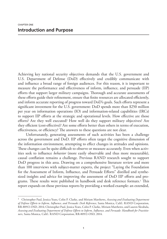Achieving key national security objectives demands that the U.S. government and U.S. Department of Defense (DoD) effectively and credibly communicate with and influence a broad range of foreign audiences. For this reason, it is important to measure the performance and effectiveness of inform, influence, and persuade (IIP) efforts that support larger military campaigns. Thorough and accurate assessments of these efforts guide their refinement, ensure that finite resources are allocated efficiently, and inform accurate reporting of progress toward DoD's goals. Such efforts represent a significant investment for the U.S. government: DoD spends more than \$250 million per year on information operations (IO) and information-related capabilities (IRCs) to support IIP efforts at the strategic and operational levels. How effective are those efforts? Are they well executed? How well do they support military objectives? Are they efficient (cost-effective)? Are some efforts better than others in terms of execution, effectiveness, or efficiency? The answers to these questions are not clear.

Unfortunately, generating assessments of such activities has been a challenge across the government and DoD. IIP efforts often target the cognitive dimension of the information environment, attempting to effect changes in attitudes and opinions. These changes can be quite difficult to observe or measure accurately. Even when activities seek to influence *behavior* (more easily observable and thus more measurable), causal conflation remains a challenge. Previous RAND research sought to support DoD progress in this area. Drawing on a comprehensive literature review and more than 100 interviews with subject-matter experts, the project "Laying the Foundation for the Assessment of Inform, Influence, and Persuade Efforts" distilled and synthesized insights and advice for improving the assessment of DoD IIP efforts and programs. These results were published in handbook and desk reference formats.1 This report expands on those previous reports by providing a worked example: an extended,

<sup>1</sup> Christopher Paul, Jessica Yeats, Colin P. Clarke, and Miriam Matthews, *Assessing and Evaluating Department of Defense Efforts to Inform, Influence, and Persuade: Desk Reference*, Santa Monica, Calif.: RAND Corporation, RR-809/2-OSD, 2014; Christopher Paul, Jessica Yeats, Colin P. Clarke, Miriam Matthews, and Lauren Skrabala, *Assessing and Evaluating Department of Defense Efforts to Inform, Influence, and Persuade: Handbook for Practitioners*, Santa Monica, Calif.: RAND Corporation, RR-809/2-OSD, 2014.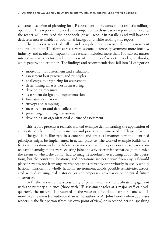concrete discussion of planning for IIP assessment in the context of a realistic military operation. This report is intended as a companion to those earlier reports, and, ideally, the reader will have read the handbook (or will read it in parallel) and will have the desk reference available for additional background while reading this report.

The previous reports distilled and compiled best practices for the assessment and evaluation of IIP efforts across several sectors: defense, government more broadly, industry, and academia. Inputs to the research included more than 100 subject-matter interviews across sectors and the review of hundreds of reports, articles, textbooks, white papers, and examples. The findings and recommendations fall into 11 categories:

- motivation for assessment and evaluation
- assessment best practices and principles
- challenges to organizing for assessment
- determining what is worth measuring
- developing measures
- assessment design and implementation
- formative evaluation
- surveys and sampling
- measurement and data collection
- presenting and using assessment
- developing an organizational culture of assessment.

This report presents a realistic worked example demonstrating the application of a prioritized selection of best principles and practices, summarized in Chapter Two.

The goal is to illustrate in a concrete and practical manner how the identified principles might be implemented in actual practice. The worked example builds on a fictional operation and an artificial scenario context. The operation and scenario context are an amalgam of several existing joint and service exercise scenarios (to minimize the extent to which the author had to imagine absolutely everything about the operation), but the countries, locations, and operations are not drawn from any real-world place or events, nor from any exercise scenarios currently or previously in use. A wholly fictional mission in a wholly fictional environment avoids possible sensitivities associated with discussing real historical or contemporary adversaries or potential future adversaries.

To further increase the accessibility of presentation and to facilitate engagement with the primary audience (those with IIP assessment roles at a major staff or headquarters), the material is presented in the voice of a fictitious narrator—one who is more like the intended audience than is the author. MAJ John Fnorky often addresses readers in the first person (from his own point of view) or in second person, speaking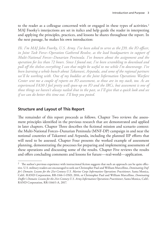to the reader as a colleague concerned with or engaged in these types of activities.<sup>2</sup> MAJ Fnorky's interjections are set in italics and help guide the reader in interpreting and applying the principles, practices, and lessons he shares throughout the report. In the next passage, he makes his own introduction:

*Hi. I'm MAJ John Fnorky, U.S. Army. I've been asked to serve as the J39, the IO officer, in Joint Task Force–Operation Gathered Resolve, as the lead headquarters in support of Multi-National Forces–Dunarian Peninsula. I've known about the assignment and the operation for less than 72 hours. Since I found out, I've been scrambling to download and pull off the shelves everything I can that might be useful to me while I'm downrange. I've been learning a whole bunch about Takanwei, Arpanda, and some of the regional partners we'll be working with. One of my buddies at the Joint Information Operations Warfare Center sent me a couple of reports on IO assessment, so those are in my stack, too. As an experienced FA30 I feel pretty well spun-up on IO and the IRCs, but assessment is one of those things we haven't always nailed shut in the past, so I'll give that a quick look and see if we can do better this time out. I'll keep you posted.*

# **Structure and Layout of This Report**

The remainder of this report proceeds as follows. Chapter Two reviews the assessment principles identified in the previous research that are demonstrated and applied in later chapters. Chapter Three describes the fictional mission and scenario context: the Multi-National Forces–Dunarian Peninsula (MNF-DP) campaign in and near the notional countries of Takanwei and Arpanda, including the planned IIP efforts that will need to be assessed. Chapter Four presents the worked example of assessment planning, demonstrating the processes for preparing and implementing assessments of these operations and discussing some of the results. Chapter Five reviews the results and offers concluding comments and lessons for future—real-world—application.

 $2$  The author's previous experience with instructional fiction suggests that such an approach can be quite effective. U.S. military readers are encouraged to seek out Christopher Paul and William Marcellino, *Dominating Duffer's Domain: Lessons for the 21st-Century U.S. Marine Corps Information Operations Practitioner*, Santa Monica, Calif.: RAND Corporation, RR-1166-1-OSD, 2016, or Christopher Paul and William Marcellino, *Dominating Duffer's Domain: Lessons for the 21st-Century U.S. Army Information Operations Practitioner*, Santa Monica, Calif.: RAND Corporation, RR-1166/1-A, 2017.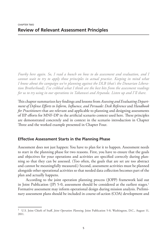*Fnorky here again. So, I read a bunch on how to do assessment and evaluation, and I cannot wait to try to apply those principles in actual practice. Keeping in mind what I know about the campaign we're planning against the DLB (that's the Dunarian Liberation Brotherhood), I've cribbed what I think are the best bits from the assessment readings for us to try using in our operations in Takanwei and Arpanda. Listen up and I'll share.*

This chapter summarizes key findings and lessons from *Assessing and Evaluating Department of Defense Efforts to Inform, Influence, and Persuade: Desk Reference* and *Handbook for Practitioners* that are relevant and applicable to planning and designing assessments of IIP efforts for MNF-DP in the artificial scenario context used here. These principles are demonstrated concretely and in context in the scenario introduction in Chapter Three and the worked example presented in Chapter Four.

# **Effective Assessment Starts in the Planning Phase**

Assessment does not just happen: You have to plan for it to happen. Assessment needs to start in the planning phase for two reasons. First, you have to ensure that the goals and objectives for your operations and activities are specified correctly during planning so that they can be assessed. (Too often, the goals that are set are too abstract and cannot be meaningfully measured.) Second, assessment activities must be planned alongside other operational activities so that needed data collection becomes part of the plan and actually happens.

According to the joint operation planning process (JOPP) framework laid out in Joint Publication (JP) 5-0, assessment should be considered at the earliest stages.<sup>1</sup> Formative assessment may inform operational design during mission analysis. Preliminary assessment plans should be included in course-of-action (COA) development and

<sup>1</sup> U.S. Joint Chiefs of Staff, *Joint Operation Planning*, Joint Publication 5-0, Washington, D.C., August 11, 2011.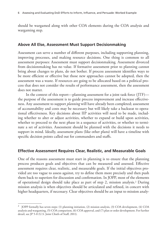should be wargamed along with other COA elements during the COA analysis and wargaming step.

# **Above All Else, Assessment Must Support Decisionmaking**

Assessment can serve a number of different purposes, including supporting planning, improving processes, and making resource decisions. One thing is common to all assessment purposes: Assessment must support decisionmaking. Assessment divorced from decisionmaking has no value. If formative assessment prior to planning cannot bring about changes to plans, do not bother. If process assessment identifies ways to be more efficient or effective but those new approaches cannot be adopted, then the assessment was a waste. If resources are going to be allocated based on a political process that does not consider the results of performance assessment, then the assessment does not matter.

In the context of this report—planning assessment for a joint task force (JTF) the purpose of the assessment is to guide process improvement and increase effectiveness. Any assessment to support *planning* will have already been completed; assessment of accountability and costs may be necessary but will likely take a backseat to operational effectiveness. Key decisions about IIP activities will need to be made, including whether to alter or adjust activities, whether to expand or build upon activities, whether to proceed to the next phase in a sequence of activities, or whether to terminate a set of activities. Assessment should be planned with the decisions it needs to support in mind. Ideally, assessment plans (like other plans) will have a timeline with specific decision points called out for commanders and staffs.

# **Effective Assessment Requires Clear, Realistic, and Measurable Goals**

One of the reasons assessment must start in planning is to ensure that the planning process produces goals and objectives that can be measured and assessed. Effective assessment requires clear, realistic, and measurable goals. If the initial objectives provided are too vague to assess against, try to define them more precisely and then push them back to superiors for discussion and confirmation. In JOPP, most of the elements of operational design should take place as part of step 2, mission analysis.2 During mission analysis is when objectives should be articulated and refined, in concert with higher headquarters, if necessary. Clear objectives should be an input to mission analy-

<sup>2</sup> JOPP formally has seven steps: (1) planning initiation, (2) mission analysis, (3) COA development, (4) COA analysis and wargaming, (5) COA comparison, (6) COA approval, and (7) plan or order development. For further detail, see JP 5-0 (U.S. Joint Chiefs of Staff, 2011).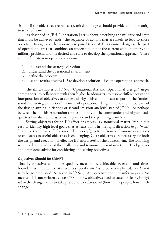sis, but if the objectives are not clear, mission analysis should provide an opportunity to seek refinement.

As described in JP 5-0, operational art is about describing the military end state that must be achieved (ends), the sequence of actions that are likely to lead to those objectives (ways), and the resources required (means). Operational design is the part of operational art that combines an understanding of the current state of affairs, the military problem, and the desired end state to develop the operational approach. These are the four steps in operational design:

- 1. understand the strategic direction
- 2. understand the operational environment
- 3. define the problem
- 4. use the results of steps 1–3 to develop a solution—i.e., the operational approach.

The third chapter of JP 5-0, "Operational Art and Operational Design," urges commanders to collaborate with their higher headquarters to resolve differences in the interpretation of objectives to achieve clarity. This should occur as part of the "understand the strategic direction" element of operational design, and it should be part of the first (planning initiation) or second (mission analysis) step of JOPP—or perhaps between them. This exhortation applies not only to the commander and higher headquarters but also to the assessment planner and the planning team lead.

Setting objectives for an IIP effort or activity is a nontrivial matter. While it is easy to identify high-level goals that at least point in the right direction (e.g., "win," "stabilize the province," "promote democracy"), getting from ambiguous aspirations or end states to useful objectives is challenging. Clear objectives are necessary for both the design and execution of effective IIP efforts *and* for their assessment. The following sections describe some of the challenges and tensions inherent in setting IIP objectives and offer some advice for considering and setting objectives.

#### **Objectives Should Be SMART**

That is, objectives should be **s**pecific, **m**easurable, **a**chievable, **r**elevant, and **t**imebound. It is important that objectives specify *what* is to be accomplished, not *how* it is to be accomplished. As noted in JP 5-0, "An objective does not infer ways and/or means—it is not written as a task."3 Similarly, objectives need to state (or clearly imply) *when* the change needs to take place and to *what extent* (how many people, how much change).

<sup>3</sup> U.S. Joint Chiefs of Staff, 2011, p. III-20.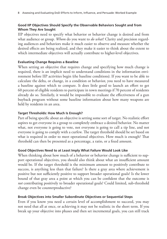# **Good IIP Objectives Should Specify the Observable Behaviors Sought and from Whom They Are Sought**

IIP objectives need to specify what behavior or behavior change is desired and from what audience or group. *Whom* do you want to *do what*? Clarity and precision regarding audiences and behaviors make it much easier to observe and measure whether the desired effects are being realized, and they make it easier to think about the extent to which intermediate objectives will actually contribute to higher-level objectives.

# **Evaluating Change Requires a Baseline**

When setting an objective that requires change and specifying how much change is required, there is an implicit need to understand conditions in the information environment before IIP activities begin (the baseline conditions). If you want to be able to calculate the delta, or change, in a condition or behavior, you need to have measured a baseline against which to compare. It does little good to launch an effort to get 60 percent of eligible residents to participate in town meetings if 70 percent of residents already do so. Similarly, it would be impossible to evaluate the effectiveness of a gun buyback program without some baseline information about how many weapons are held by residents in an area.

# **Target Thresholds: How Much Is Enough?**

Part of being specific about an objective is setting some sort of target. No realistic effort aspires to get everyone in a group to completely embrace a desired behavior. No matter what, not everyone is going to vote, not everyone is going to call a tip line, and not everyone is going to comply with a curfew. The target threshold should be set based on what is required in order to meet operational objectives. How much is enough? That threshold can then be presented as a percentage, a ratio, or a fixed amount.

# **Good Objectives Need to at Least Imply What Failure Would Look Like**

When thinking about how much of a behavior or behavior change is sufficient to support operational objectives, you should also think about what an insufficient amount would be. If the target threshold is the minimum amount to positively contribute to success, is anything less than that failure? Is there a gray area where achievement is positive but not sufficiently positive to support broader operational goals? Is the lower bound of that gray area a point at which you can be confident that the outcome is *not* contributing positively to broader operational goals? Could limited, sub-threshold change even be counterproductive?

#### **Break Objectives into Smaller Subordinate Objectives or Sequential Steps**

Even if you know you need a certain level of accomplishment to succeed, you may not need that all at once, or achieving it may not be realistic in the short term. If you break up your objective into phases and then set incremental goals, you can still track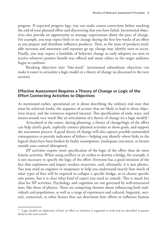progress. If expected progress lags, you can make course corrections before reaching the end of your planned effort and discovering that you have failed. Incremental objectives also provide an opportunity to manage expectations about the pace of change. For example, you may expect little or no change during the first few weeks of an effort as you prepare and distribute influence products. Then, as the mass of products available increases and awareness and exposure go up, change may (slowly) start to occur. Finally, you may expect a landslide of behavior change as early adopters are seen to receive whatever positive benefit was offered and many others in the target audience begin to conform.

Breaking objectives into "bite-sized," incremental subordinate objectives can make it easier to articulate a logic model or a theory of change (as discussed in the next section).

# **Effective Assessment Requires a Theory of Change or Logic of the Effort Connecting Activities to Objectives**

As mentioned earlier, operational art is about describing the military end state that must be achieved (ends), the sequence of actions that are likely to lead to those objectives (ways), and the resources required (means). This specification of ends, ways, and means sounds very much like an articulation of a theory of change (or a logic model).4

Articulated at the outset, during planning, a theory of change/logic of the effort can help clarify goals, explicitly connect planned activities to those goals, and support the assessment process. A good theory of change will also capture possible unintended consequences or provide indicators of failure—helping you identify where links in the logical chain have been broken by faulty assumptions, inadequate execution, or factors outside your control (disruptors).

IIP activities require more specification of the logic of the effort than do most kinetic activities. When using artillery or air strikes to destroy a bridge, for example, it is not necessary to specify the logic of the effort: Everyone has a good intuition of the fact that explosions and impact weaken structures, and, ultimately, it is just physics. You may need an engineer or weaponeer to help you understand exactly how much of what types of fires will be required to collapse a specific bridge, or to choose specific aim points, but it is clear what kind of expert you need to consult. This is much less clear for IIP activities. Psychology and cognition are not governed by well-structured laws, like those of physics. There are competing theories about influencing both individuals and populations, as well as a range of experiences and cultural, linguistic, societal, contextual, or other factors that can determine how efforts to influence human

Logic models are depictions of how an effort or initiative is supposed to work and are described in greater detail in the next section.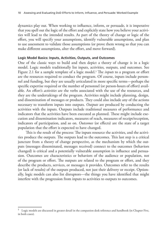dynamics play out. When working to influence, inform, or persuade, it is imperative that you spell out the logic of the effort and explicitly state how you believe your activities will lead to the intended results. As part of the theory of change or logic of the effort, you will specify your assumptions, identify vulnerable assumptions, and plan to use assessment to validate those assumptions (or prove them wrong so that you can make different assumptions, alter the effort, and move forward).

#### **Logic Model Basics: Inputs, Activities, Outputs, and Outcomes**

One of the classic ways to build and then depict a theory of change is in a logic model. Logic models traditionally list inputs, activities, outputs, and outcomes. See Figure 2.1 for a sample template of a logic model.<sup>5</sup> The *inputs* to a program or effort are the resources required to conduct the program. Of course, inputs include personnel and funding, but they are usually articulated in more specific terms—perhaps the specific expertise required or the number of personnel (or person-hours of effort) available. An effort's *activities* are the verbs associated with the use of the resources, and they are the undertakings of the program. Activities might include planning, design, and dissemination of messages or products. They could also include any of the actions necessary to transform inputs into outputs. *Outputs* are produced by conducting the activities with the inputs. Outputs include traditional measures of performance and indicators that the activities have been executed as planned. These might include execution and dissemination indicators, measures of reach, measures of receipt/reception, indicators of participation, and so on. *Outcomes* (or effects) are the state of a target population that the effort is expected to have changed.

This is the result of the process: The inputs resource the activities, and the activities produce the outputs. The outputs lead to the outcomes. This last step is a critical juncture from a theory of change perspective, as the mechanism by which the outputs (messages disseminated, messages received) connect to the outcomes (behaviors changed) is critical and a potentially vulnerable assumption in influence and persuasion. Outcomes are characteristics or behaviors of the audience or population, not of the program or effort. The outputs are related to the program or effort, and they describe the products, services, or messages it provides. Outcomes refer to the results (or lack of results) of the outputs produced, not just their delivery or receipt. Optionally, logic models can also list disruptors—the things you have identified that might interfere with the progression from inputs to activities to outputs to outcomes.

<sup>5</sup> Logic models are discussed in greater detail in the companion desk reference and handbook (in Chapter Five, in both cases).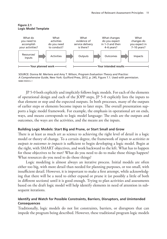

#### **Figure 2.1 Logic Model Template**

SOURCE: Donna M. Mertens and Amy T. Wilson, *Program Evaluation Theory and Practice: A Comprehensive Guide*, New York: Guilford Press, 2012, p. 245, Figure 7.1. Used with permission. **RAND** *RR809/4-2.1*

JP 5-0 both explicitly and implicitly follows logic models. For each of the elements of operational design and each of the JOPP steps, JP 5-0 explicitly lists the inputs to that element or step and the expected outputs. In both processes, many of the outputs of earlier steps or elements become inputs to later steps. The overall presentation supports a logic model framework. For example, the emphasis in operational art on ends, ways, and means corresponds to logic model language: The ends are the outputs and outcomes, the ways are the activities, and the means are the inputs.

#### **Building Logic Models: Start Big and Prune, or Start Small and Grow**

There is at least as much art as science to achieving the right level of detail in a logic model or theory of change. To a certain degree, the framework of *inputs to activities to outputs to outcomes to impacts* is sufficient to begin developing a logic model. Begin at the right, with SMART objectives, and work backward to the left. What has to happen for those objectives to be met? What do you need to do to make those things happen? What resources do you need to do those things?

Logic modeling is almost always an iterative process. Initial models are often either too big, with more detail than needed for planning purposes, or too small, with insufficient detail. However, it is important to make a first attempt, while acknowledging that there will be a need to either expand or prune it (or possibly a little of both in different sections) until it is good enough. Trying to plan activities and assessments based on the draft logic model will help identify elements in need of attention in subsequent iterations.

# **Identify and Watch for Possible Constraints, Barriers, Disruptors, and Unintended Consequences**

Traditionally, logic models do not list constraints, barriers, or disruptors that can impede the program being described. However, these traditional program logic models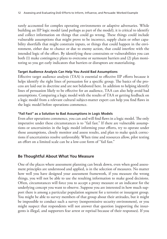rarely accounted for complex operating environments or adaptive adversaries. While building an IIP logic model (and perhaps as part of the model), it is critical to identify and collect information on things that could go wrong. These things could include vulnerable assumptions that might prove to be incorrect, supply chain or other capability shortfalls that might constrain inputs, or things that could happen in the environment, either due to chance or due to enemy action, that could interfere with the intended logic of the effort. By identifying these constraints or vulnerabilities you can both (1) make contingency plans to overcome or surmount barriers and (2) plan monitoring so you get early indicators that barriers or disruptors are materializing.

#### **Target Audience Analysis Can Help You Avoid Bad Assumptions**

Effective target audience analysis (TAA) is essential to effective IIP efforts because it helps identify the right lines of persuasion for a specific group. The basics of the process are laid out in doctrine and are not belabored here. In addition to helping identify lines of persuasion likely to be effective for an audience, TAA can also help avoid bad assumptions. Comparing a logic model with the results of TAA or getting feedback on a logic model from a relevant cultural subject-matter expert can help you find flaws in the logic model before operations commence.

#### **"Fail Fast" as a Solution to Bad Assumptions in Logic Models**

Even after operations commence, you can and will find flaws in a logic model. The only imperative under these circumstances is to "fail fast." If there are vulnerable assumptions or uncertainties in the logic model informing your efforts, try to operate under those assumptions, closely monitor and assess results, and plan to make quick corrections if uncertainties resolve unfavorably. When time and resources allow, pilot testing an effort on a limited scale can be a low-cost form of "fail fast."

# **Be Thoughtful About What You Measure**

One of the places where assessment planning can break down, even when good assessment principles are understood and applied, is in the selection of measures. No matter how well you have designed your assessment framework, if you measure the wrong things, you will not be able to use the resulting information to make good decisions. Often, circumstances will force you to accept a proxy measure or an indicator for the underlying concept you want to observe. Suppose you are interested in how much support there is among a particular population segment for a terrorist or insurgent group. You might be able to survey members of that group about their attitudes, but it might be impossible to conduct such a survey (nonpermissive security environment), or you might suspect that respondents will not answer that question (supporting the insurgents is illegal, and supporters fear arrest or reprisal because of their responses). If you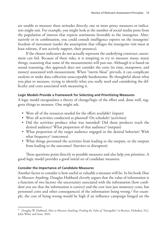are unable to measure these attitudes directly, one or more proxy measures or indicators might suit. For example, you might look at the number of social media posts from the population of interest that express sentiments favorable to the insurgents. Alternatively or in combination, you could consult intelligence reports on the insurgents' freedom of movement (under the assumption that villages the insurgents visit must at least tolerate, if not actively support, their presence).

If the chosen indicators do not actually represent the underlying construct, assessment can fail. Because of these risks, it is tempting to try to measure many, many things, reasoning that some of the measurements will pan out. Although it is based on sound reasoning, this approach does not consider the costs (in time, manpower, and money) associated with measurement. When "metric bloat" prevails, it can complicate analysis or make data collection unacceptably burdensome. Be thoughtful about what you plan to measure, trying to identify what you really need and considering the difficulty and costs associated with measuring it.

# **Logic Models Provide a Framework for Selecting and Prioritizing Measures**

A logic model encapsulates a theory of change/logic of the effort and, done well, suggests things to measure. One might ask,

- Were all of the resources needed for the effort available? (inputs)
- Were all activities conducted as planned? On schedule? (activities)
- Did the activities produce what was intended? Did those products reach the desired audience? What proportion of that audience? (outputs)
- What proportion of the target audience engaged in the desired behavior? With what frequency? (outcomes)
- What things prevented the activities from leading to the outputs, or the outputs from leading to the outcomes? (barriers or disruptors)

These questions point directly to possible measures and also help you prioritize. A good logic model provides a good initial set of candidate measures.

# **Consider the Importance of Candidate Measures**

Another factor to consider is how useful or valuable a measure will be. In his book *How to Measure Anything*, Douglas Hubbard cleverly argues that the value of information is a function of two factors: the uncertainty associated with the information (how confident you are that the information is correct) and the cost (not just monetary costs, but personnel costs and other consequences) of the information being wrong.<sup>6</sup> For example, the cost of being wrong would be high if an influence campaign hinged on the

<sup>6</sup> Douglas W. Hubbard, *How to Measure Anything: Finding the Value of "Intangibles" in Business*, Hoboken, N.J.: John Wiley and Sons, 2010.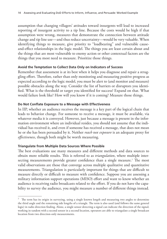assumption that changing villagers' attitudes toward insurgents will lead to increased reporting of insurgent activity to a tip line. Because the costs would be high if that assumption were wrong, measures that demonstrate the connection between attitude change and tip line use—and thus reduce uncertainty—would be very valuable. When identifying things to measure, give priority to "loadbearing" and vulnerable causeand-effect relationships in the logic model. The things you are least certain about and the things that are most vulnerable to enemy action or other contextual factors are the things that you most need to measure. Prioritize those things.

#### **Avoid the Temptation to Collect Data Only on Indicators of Success**

Remember that assessment is at its best when it helps you diagnose and repair a struggling effort. Therefore, rather than only monitoring and measuring positive progress as expected according to the logic model, you must be alert to (and monitor and measure) possible obstacles along the way. Consider the list of barriers or disruptors you identified. What is the threshold or target you identified for success? Expand on that. What would failure look like? How will you know if it is coming? Measure those things.

#### **Do Not Conflate Exposure to a Message with Effectiveness**

In IIP, whether an audience receives the message is a key part of the logical chain that leads to behavior change. For someone to receive a message, it must be available, via whatever media it is conveyed. However, just because a message is present in the information environment where an individual resides, you should not assume that the individual has received it, and even if someone has received a message, that does not mean he or she has been persuaded by it. Neither *reach* nor *exposure* is an adequate proxy for *effectiveness*, though both might be worth measuring.

#### **Triangulate from Multiple Data Sources Where Possible**

The best evaluations use many measures and different methods and data sources to obtain more reliable results. This is referred to as *triangulation*, where multiple intersecting measurements provide greater confidence than a single measure.<sup>7</sup> The most valid observations are those that converge across multiple qualitative and quantitative measurements. Triangulation is particularly important for things that are difficult to measure directly or difficult to measure with confidence. Suppose you are assessing a military information support operations (MISO) effort and want to know whether an audience is receiving radio broadcasts related to the effort. If you do not have the capability to survey the audience, you might measure a number of different things instead.

 $7$  The term has its origin in surveying, using a single known length and measuring two angles to determine the third angle and the remaining side lengths of a triangle. The term is also used (and follows the same general logic) in radio direction finding. Alone, a single sensor detecting a signal can indicate the direction of the signal; working in tandem with a second sensor in a second location, operators are able to triangulate a single broadcast location from two direction-only measurements.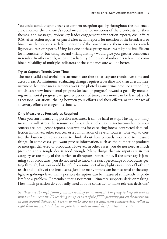You could conduct spot checks to confirm reception quality throughout the audience's area; monitor the audience's social media use for mentions of the broadcasts, or their themes, and messages; review key leader engagement after-action reports, civil affairs (CA) after-action reports, or patrol after-action reports for mention of the broadcasts or broadcast themes; or search for mentions of the broadcasts or themes in various intelligence sources or reports. Using just one of these proxy measures might be insufficient (or inconsistent), but using several (triangulating) would give you greater confidence in results. In other words, when the reliability of individual indicators is low, the combined reliability of multiple indicators of the same measure will be better.

# **Try to Capture Trends Over Time**

The most valid and useful measurements are those that capture trends over time and across areas. At minimum, evaluating change requires a baseline and then a result measurement. Multiple measurements over time plotted against time produce a trend line, which can show incremental progress (or lack of progress) toward a goal. By measuring incremental progress over greater periods of time, even more can be learned, such as seasonal variations, the lag between your efforts and their effects, or the impact of adversary efforts or exogenous shocks.

# **Only Measure as Precisely as Required**

Once you start identifying possible measures, it can be hard to stop. Having too many measures will stress the resources of your data collection structure—whether your sources are intelligence reports, observations for executing forces, contracted data collection initiatives, other sources, or a combination of several sources. One way to control the burden on collection is to think about how precisely you need to measure things. In some cases, you want precise information, such as the number of products or messages delivered or broadcast. However, in other cases, you do not need as much precision and a rough idea is good enough. Many things that are inputs are in this category, as are many of the barriers or disruptors. For example, if the adversary is jamming your broadcasts, you do not need to know the exact percentage of broadcasts getting through, but you would benefit from some sort of stoplight assessment of both the reach and quality of the broadcasts. Just like many inputs can be measured at the stoplight or go/no-go level, many possible disruptors can be measured sufficiently as problem/not a problem. Remember that assessment ultimately supports decisionmaking. How much precision do you really need about a construct to make relevant decisions?

*So, those are the high points from my reading on assessment. I'm going to keep all that in mind as I convene the IO working group as part of the JTF's planning process for operations in and around Takanwei. I want to make sure we get assessment considerations rolled in right from the start and that we plan to include as much best practice as we can.*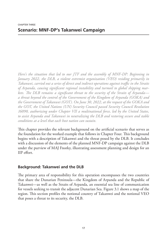*Here's the situation that led to our JTF and the assembly of MNF-DP: Beginning in January 2022, the DLB, a violent extremist organization (VEO) residing primarily in Takanwei, carried out a series of direct and indirect operations against traffic in the Straits of Arpanda, causing significant regional instability and turmoil to global shipping markets. The DLB remains a significant threat to the security of the Straits of Arpanda a threat beyond the control of the Government of the Kingdom of Arpanda (GOKA) and the Government of Takanwei (GOT). On June 30, 2022, at the request of the GOKA and the GOT, the United Nations (UN) Security Council passed Security Council Resolution 16090, authorizing under Chapter VII a multinational force, led by the United States, to assist Arpanda and Takanwei in neutralizing the DLB and restoring secure and stable conditions at a level that each host nation can sustain.* 

This chapter provides the relevant background on the artificial scenario that serves as the foundation for the worked example that follows in Chapter Four. This background begins with a description of Takanwei and the threat posed by the DLB. It concludes with a discussion of the elements of the planned MNF-DP campaign against the DLB under the purview of MAJ Fnorky, illustrating assessment planning and design for an IIP effort.

# **Background: Takanwei and the DLB**

The primary area of responsibility for this operation encompasses the two countries that share the Dunarian Peninsula—the Kingdom of Arpanda and the Republic of Takanwei—as well as the Straits of Arpanda, an essential sea line of communication for vessels seeking to transit the adjacent Dunarian Sea. Figure 3.1 shows a map of the region. This section profiles the notional country of Takanwei and the notional VEO that poses a threat to its security, the DLB.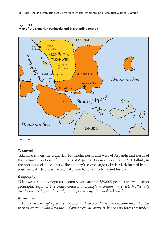



**RAND** *RR809/4-3.1*

#### **Takanwei**

Takanwei sits on the Dunarian Peninsula, north and west of Arpanda and north of the narrowest portions of the Straits of Arpanda. Takanwei's capital is Port Talbuk, in the northwest of the country. The country's second-largest city is Mezi, located in the southwest. As described below, Takanwei has a rich culture and history.

#### *Geography*

Takanwei is a lightly populated country with around 380,000 people and two distinct geographic regions. The center consists of a *jungle mountain range, which effectively divides the north from the south,* posing a challenge for overland travel.

#### *Government*

Takanwei is a *struggling democratic state without a viable security establishment that has friendly relations with Arpanda and other regional countries*. Its security forces are under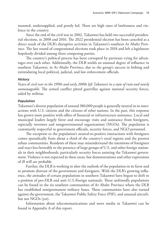manned, undersupplied, and poorly led. There are high rates of lawlessness and violence in the country.

Since the end of the civil war in 2002, Takanwei has held two successful presidential elections, in 2008 and 2016. The 2022 presidential election has been canceled as a direct result of the DLB's disruptive activities in Takanwei's southern Ar Abahr Province. The last round of congressional elections took place in 2018 and left a legislature hopelessly divided among three competing parties.

The country's political process has been corrupted by partisans vying for advantages over each other. Additionally, the DLB wields an unusual degree of influence in southern Takanwei, in Ar Abahr Province, due to the group's success in bribing and intimidating local political, judicial, and law enforcement officials.

#### *History*

Years of *civil war in the 1990s and early 2000s left Takanwei in a state of ruin and nearly unmanageable.* The armed conflict pitted guerrillas against national security forces, aided by militias.

#### *Population*

Takanwei's diverse population of around 380,000 people is generally neutral in its interactions with U.S. citizens and the citizens of other nations. In the past, this response has grown more positive with offers of financial or infrastructure assistance. Local and municipal leaders largely favor and encourage visits and assistance from foreigners, especially investors and nongovernmental organizations (NGOs). The population is customarily respectful to government officials, security forces, and NGO personnel.

The exception to the population's neutral-to-positive interactions with foreigners comes sporadically from about a third of the country's rural regions and the poorest urban communities. Residents of these may misunderstand the intentions of foreigners and react less favorably to the presence of large groups of U.S. and other foreign nationals in their neighborhoods, particularly security forces assisting the Takanwei government. Violence is not expected in these areas, but demonstrations and other expressions of ill will are probable.

Further, the DLB is working to alter the outlook of the population in its favor and to promote distrust of the government and foreigners. With the DLB's growing influence, the attitudes of certain populations in southern Takanwei have begun to shift to a position of pro-DLB and anti–U.S./foreign nationals. These unfriendly populations can be found in the six southern communities of Ar Abahr Province where the DLB has established semipermanent military bases. These communities have also turned against the government, the Takanwei Public Safety Force (PSF), and unusual aircraft, but not NGOs (yet).

Information about telecommunications and news media in Takanwei can be found in Appendix A of this report.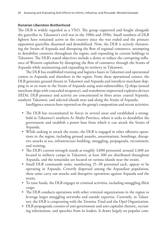#### **Dunarian Liberation Brotherhood**

The DLB is widely regarded as a VEO. The group supported and fought alongside the guerrillas in Takanwei's civil war in the 1980s and 1990s. Small numbers of DLB fighters have remained active in the country since the war ended and the primary opposition guerrillas disarmed and demobilized. Now, the DLB is actively threatening the Straits of Arpanda and disrupting the flow of regional commerce, attempting to destabilize countries throughout the region, and expanding its current holdings in Takanwei. The DLB's stated objectives include a desire to reduce the corrupting influence of Western capitalism by disrupting the flow of commerce through the Straits of Arpanda while maintaining and expanding its territory in Takanwei.

The DLB has established training and logistics bases in Takanwei and operational centers in Arpanda and elsewhere in the region. From these operational centers, the DLB generates ground threats in Takanwei and Arpanda and interdicts merchant shipping in or en route to the Straits of Arpanda using semi-submersibles, Q-ships (armed merchant ships with concealed weaponry), and waterborne improvised explosive devices (IEDs). DLB presence and activity are concentrated in three areas: coastal Arpanda, southern Takanwei, and selected islands near and along the Straits of Arpanda.

Intelligence sources have reported on the group's composition and recent activities:

- The DLB has reconstituted its forces in several areas and established a stronghold in Takanwei's southern Ar Abahr Province, where it seeks to destabilize the government and establish a power base from which it can attack the Straits of Arpanda.
- While seeking to attack the straits, the DLB is engaged in other offensive operations in the region, including ground assaults, assassinations, bombings, disruptive attacks at sea, infrastructure building, smuggling, propaganda, recruitment, and training.
- The DLB's current strength stands at roughly 3,000 personnel; around 2,400 are located in military camps in Takanwei, at least 300 are distributed throughout Arpanda, and the remainder are located on various islands near the straits.
- Small DLB commando units, numbering 25–30 personnel each, appear to be operating in Arpanda. Covertly dispersed among the Arpandian population, these units carry out attacks and disruptive operations against Arpanda and the straits.
- To raise funds, the DLB engages in criminal activities, including smuggling illicit cargo.
- The DLB conducts operations with other criminal organizations in the region to leverage larger smuggling networks and outside expertise. Currently, in Takanwei, the DLB is cooperating with the Termina Triad and the Opal Organization.
- DLB propaganda consists of anti-government and anti-capitalist rhetoric, recruiting information, and speeches from its leaders. It draws largely on popular com-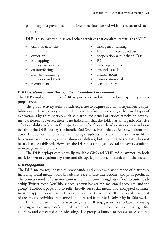plaints against government and foreigners interspersed with manufactured facts and figures.

DLB is also involved in several other activities that confirm its status as a VEO:

- criminal activities
- smuggling
- extortion
- kidnapping
- money laundering
- counterfeiting
- human trafficking
- robberies and theft
- recruitment
- insurgency training
- IED manufacture and use
- cooperation with other VEOs
- IO
- cyber operations
- ground assaults
- assassinations
- intimidation strikes
- acts of piracy.

#### *DLB Operations in and Through the Information Environment*

The DLB employs a number of IRC-equivalents, and its most robust capability area is propaganda.

The group actively seeks outside expertise to acquire additional asymmetric capabilities in such areas as cyber and electronic warfare. It encourages the usual types of cyberattacks by third parties, such as distributed denial-of-service attacks on government websites. However, there is no indication that the DLB has an organic offensive cyber capability. A known third-party actor who frequently advocates cyberattacks on behalf of the DLB goes by the handle Red Spyder, but little else is known about this actor. In addition, information technology students at Mezi University most likely have some basic hacking and phishing capabilities, but their link to the DLB has not been clearly established. However, the DLB has employed several university students to manage its web presence.

The DLB deploys commercially available GPS and VHF radio jammers to both mask its own navigational systems and disrupt legitimate communication channels.

#### *DLB Propaganda*

The DLB makes regular use of propaganda and employs a wide range of platforms, including social media, radio broadcasts, face-to-face interactions, and print products. The primary mode of dissemination is the Internet—through its official website, leadership Twitter feeds, YouTube videos, known hacker forums, email accounts, and the group's Facebook page. It also relies heavily on social media and encrypted communication apps to coordinate attacks and monitor its members. It is believed that most of the group's activities are planned and directed from Mezi University in Takanwei.

In addition to its online activities, the DLB engages in face-to-face marketing campaigns involving old-fashioned pamphlets, comic books, posters, urban graffiti, couriers, and direct radio broadcasting. The group is known to possess at least three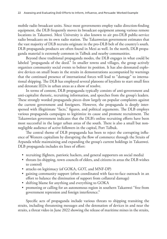mobile radio broadcast units. Since most governments employ radio direction-finding equipment, the DLB frequently moves its broadcast equipment among various remote locations in Takanwei. Mezi University is also known to air pro-DLB public-service radio broadcasts on its own radio station. The Takanweian government estimates that the vast majority of DLB recruits originate in the pro-DLB belt of the country's south. DLB propaganda products are often found in Mezi as well. In the north, DLB propaganda material is extremely common in Talbuk and nearby communities.

Beyond these traditional propaganda modes, the DLB engages in what could be labeled "propaganda of the deed." In smaller towns and villages, the group actively organizes community social events to bolster its position. It has also detonated explosive devices on small boats in the straits in demonstrations accompanied by warnings that the continued presence of international forces will lead to "damage" to international shipping. The DLB has employed several platoons of loyalists to start small fires and detonate IEDs in urban areas as a show of resolve.

In terms of content, DLB propaganda typically consists of anti-government and anti-capitalist rhetoric, recruiting information, and speeches from the group's leaders. These strongly worded propaganda pieces draw largely on popular complaints against the current government and foreigners. However, the propaganda is deeply interspersed with illegitimate "facts," figures, and political arguments. The DLB employs various propaganda campaigns to legitimize its cause and promote recruitment. The Takanweian government indicates that the DLB's online recruiting efforts have been most successful in the larger urban areas of the south. There is also a small but nonnegligible audience of active followers in the capital, Port Talbuk.

The central theme of DLB propaganda has been to reject the corrupting influence of Western capitalism by disrupting the flow of commerce through the Straits of Arpanda while maintaining and expanding the group's current holdings in Takanwei. DLB propaganda includes six lines of effort:

- recruiting (fighters, patriotic hackers, and general supporters on social media)
- threats (to shipping, town councils of elders, and citizens in areas the DLB wishes to control)
- attacks on legitimacy (of GOKA, GOT, and MNF-DP)
- gaining community support (often coordinated with face-to-face outreach in an effort to balance the diminution of support from collateral damage)
- shifting blame for anything and everything to GOKA
- promoting or calling for an autonomous region in southern Takanwei "free from government repression and foreign interference."

Specific acts of propaganda include various threats to shipping transiting the straits, including threatening messages and the detonation of devices in and near the straits, a threat video in June 2022 showing the release of maritime mines in the straits,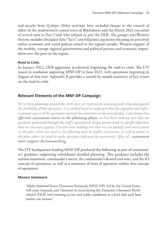and attacks from Q-ships. Other activities have included threats to the council of elders in the southwestern coastal town of Blackshores and the March 2022 execution of several men in Port Cook who refused to join the DLB. The group's anti-Western rhetoric includes abundant false "facts" and fallacious arguments focusing on perceived unfair economic and social policies aimed at the region's people; Western support of the wealthy, corrupt regional governments and political parties; and economic imperialism over the poor in the region.

# **Road to Crisis**

In January 2022, DLB aggression accelerated, beginning the road to crisis. The UN issued its resolution approving MNF-DP in June 2022, with operations beginning in August of that year. Appendix B provides a month-by-month summary of key events on the road to crisis.

# **Relevant Elements of the MNF-DP Campaign**

*We've been planning around the clock since we received the warning order that anticipated the possibility of this operation. I've worked hard to make sure that the cognitive and informational aspects of the operation received due attention in the overall plan. I also know that effective assessment starts in the planning phase, so I've been making sure that the guidance generated through the staff's operational design process leads to specific objectives that we can assess against. I've also been making sure that we can identify and insert points in the plan where we need to be collecting data to enable assessments, as well as points in the plan where we need to make decisions informed by assessments. After all, assessment must support decisionmaking.*

The JTF headquarters leading MNF-DP produced the following as part of commander's guidance supporting subordinate detailed planning. This guidance includes the mission statement, commander's intent, the commander's desired end state, and the IO concept of operations, as well as a summary of lines of operation within that concept of operations.

#### **Mission Statement**

"Multi National Force–Dunarian Peninsula (MNF-DP), led by the United States, will assist Arpanda and Takanwei in neutralizing the Dunarian Liberation Brotherhood (DLB) and restoring secure and stable conditions at a level that each host nation can sustain."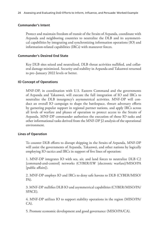#### **Commander's Intent**

Protect and maintain freedom of transit of the Straits of Arpanda, coordinate with Arpanda and neighboring countries to neutralize the DLB and its asymmetrical capabilities by integrating and synchronizing information operations (IO) and information-related capabilities (IRCs) with maneuver forces.

#### **Commander's Desired End State**

Key DLB sites seized and neutralized, DLB threat activities nullified, and collateral damage minimized. Security and stability in Arpanda and Takanwei returned to pre–January 2022 levels or better.

#### **IO Concept of Operations**

MNF-DP, in coordination with U.S. Eastern Command and the governments of Arpanda and Takanwei, will execute the full integration of IO and IRCs to neutralize the DLB insurgency's asymmetrical activities. MNF-DP will conduct an overall IO campaign to shape the battlespace, thwart adversary efforts by garnering popular support in regional partner nations, and apply IRCs across all levels of warfare and phases of operation to protect access to the Straits of Arpanda. MNF-DP commander authorizes the execution of those IO tasks and other informational tasks derived from the MNF-DP J2 analysis of the operational environment.

#### **Lines of Operation**

To counter DLB efforts to disrupt shipping in the Straits of Arpanda, MNF-DP will assist the governments of Arpanda, Takanwei, and other nations by logically employing IO tactics and IRCs in support of five lines of operation:

1. MNF-DP integrates IO with sea, air, and land forces to neutralize DLB C2 [command-and-control] networks (CYBER/EW [electronic warfare]/MISO/PA [public affairs]).

2. MNF-DP employs IO and IRCs to deny safe havens to DLB (CYBER/MISO/ PA).

3. MNF-DP nullifies DLB IO and asymmetrical capabilities (CYBER/MISO/PA/ SPACE).

4. MNF-DP utilizes IO to support stability operations in the region (MISO/PA/ CA).

5. Promote economic development and good governance (MISO/PA/CA).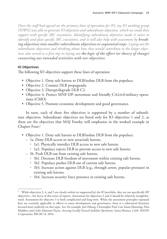*Once the staff had agreed on the primary lines of operation for IO, my IO working group (IOWG) was able to generate IO objectives and subordinate objectives, which we could then support with specific IRC executions. Identifying subordinate objectives made it easier to*  identify and plan specific IRC executions, and it will also help with assessment by **break***ing objectives into smaller subordinate objectives or sequential steps. Laying out the subordinate objectives and thinking about how they would contribute to the larger objectives also served as a first step in laying out the logic of the effort (or theory of change) connecting our intended activities with our objectives.*

# **IO Objectives**

The following IO objectives support these lines of operation:

- Objective 1. Deny safe havens to DLB/isolate DLB from the populace.
- Objective 2. Counter DLB propaganda.
- Objective 3. Disrupt/degrade DLB C2.
- Objective 4. Protect MNF-DP movement and friendly CA/civil-military operations (CMO).
- Objective 5. Promote economic development and good governance.

In turn, each of these five objectives is supported by a number of subordinate objectives. Subordinate objectives are listed only for IO objectives 1 and 2, as these are the objectives that MAJ Fnorky will emphasize in the worked example in Chapter Four:1

- Objective 1. Deny safe havens to DLB/isolate DLB from the populace.
	- 1a. Deny DLB access to new areas/safe havens.
		- 1a1. Physically interdict DLB access to new safe havens.
		- 1a2. Populace rejects DLB to prevent access to new safe havens.
	- 1b. Push DLB out from existing safe havens.
		- 1b1. Decrease DLB freedom of movement within existing safe havens.
		- 1b2. Populace pushes DLB out of current safe havens.
		- 1b3. Increase action against DLB (e.g., through arrest, popular pressure) in existing safe havens.
		- 1b4. Increase security force presence in existing safe havens.

<sup>&</sup>lt;sup>1</sup> While objectives 3, 4, and 5 are clearly within (or supported by) the IO portfolio, they are not specifically IIP objectives—the focus of this series of reports. Assessment for objectives 3 and 4 should be relatively straightforward. Assessment for objective 5 is both complicated and long-term. While the assessment principles espoused here are certainly applicable to efforts to assess development and governance, there is a substantial literature focused more explicitly on that topic. See, for example, Jan Osburg, Christopher Paul, Lisa Saum-Manning, Dan Madden, and Leslie Adrienne Payne, *Assessing Locally Focused Stability Operations*, Santa Monica, Calif.: RAND Corporation, RR-387-A, 2014.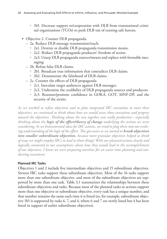- 1b5. Decrease support to/cooperation with DLB from transnational criminal organizations (TCOs) to push DLB out of existing safe havens.
- Objective 2. Counter DLB propaganda.
	- 2a. Reduce DLB message transmission/reach.
		- 2a1. Destroy or disable DLB propaganda transmission means.
		- 2a2. Reduce DLB propaganda producers' freedom of action.
		- 2a3. Usurp DLB propaganda sources/means and replace with favorable messaging.
	- 2b. Refute false DLB claims.
		- 2b1. Broadcast true information that contradicts DLB claims.
		- 2b2. Demonstrate the falsehood of DLB claims.
	- 2c. Counter the effects of DLB propaganda.
		- 2c1. Inoculate target audiences against DLB messages.
		- 2c2. Undermine the credibility of DLB propaganda sources and producers.
		- 2c3. Reassure/promote confidence in GOKA, GOT, MNF-DP, and the security of the straits.

*As we worked to refine objectives and to plan integrated IRC executions to meet these objectives, we continued to think about how we would assess those executions and progress toward the objectives. Thinking about the two together was really productive—especially thinking about the logic of the effort/theory of change underlying the actions we were considering. As we brainstormed ideas for IRC actions, we tried to plug them into our evolving understanding of the logic of the effort. This got easier as we started to break objectives into smaller subordinate objectives, because more granular objectives helped us think of ways we might employ IRCs to lead to those things! With our planned actions clearly and logically connected to our assumptions about how they would lead to the accomplishment of our objectives, I knew we were preparing ourselves for an easier time planning and conducting assessment.* 

# **Planned IRC Tasks**

Objectives 1 and 2 include five intermediate objectives and 15 subordinate objectives. Sixteen IRC tasks support these subordinate objectives. Most of the 16 tasks support more than one subordinate objective, and most of the subordinate objectives are supported by more than one task. Table 3.1 summarizes the relationships between these subordinate objectives and tasks. Because most of the planned tasks or actions support more than one objective or subordinate objective, every task has a unique number, and that number remains the same each time it is listed (so, for example, subordinate objective 1b5 is supported by tasks 6, 7, and 4, where 6 and 7 are newly listed but 4 has been listed in support of earlier subordinate objectives).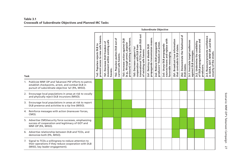|      |                                                                                                                                                                 | <b>Subordinate Objective</b>                                       |                                                                          |                                                            |                                                                                                             |                                                                                                                                           |                                                               |                                                            |                                                                                     |                                                                 |                                                    |                                                          |                                                                               |                                                                                               |
|------|-----------------------------------------------------------------------------------------------------------------------------------------------------------------|--------------------------------------------------------------------|--------------------------------------------------------------------------|------------------------------------------------------------|-------------------------------------------------------------------------------------------------------------|-------------------------------------------------------------------------------------------------------------------------------------------|---------------------------------------------------------------|------------------------------------------------------------|-------------------------------------------------------------------------------------|-----------------------------------------------------------------|----------------------------------------------------|----------------------------------------------------------|-------------------------------------------------------------------------------|-----------------------------------------------------------------------------------------------|
| Task |                                                                                                                                                                 | prevent access to new safe havens.<br>Populace rejects DLB<br>1a2. | movement within existing safe<br>1b1. Decrease DLB freedom of<br>havens. | out of<br>1b2. Populace pushes DLB<br>current safe havens. | safe havens.<br>1b3. Increase action against DLB<br>(e.g., through arrest, popular<br>pressure) in existing | <b>Sut</b><br><b>B</b><br>transnational TCOs to push<br>cooperation with DLB from<br>1b5. Decrease support to/<br>of existing safe havens | propaganda transmission means.<br>2a1. Destroy or disable DLB | 2a2. Reduce DLB propaganda<br>producers' freedom of action | sources/means and replace with<br>2a3. Usurp DLB propaganda<br>favorable messaging. | 2b1. Broadcast true information<br>that contradicts DLB claims. | ৳<br>2b2. Demonstrate the falsehood<br>DLB claims. | 2c1. Inoculate target audiences<br>against DLB messages. | of DLB propaganda sources and<br>2c2. Undermine the credibility<br>producers. | 2c3. Reassure/promote confidence<br>in GOKA, GOT, MNF-DP, and the<br>security of the straits. |
|      | 1. Publicize MNF-DP and Takanwei PSF efforts to patrol,<br>establish checkpoints, arrest, and combat DLB in<br>pursuit of subordinate objective 1a1 (PA, MISO). |                                                                    |                                                                          |                                                            |                                                                                                             |                                                                                                                                           |                                                               |                                                            |                                                                                     |                                                                 |                                                    |                                                          |                                                                               |                                                                                               |
|      | 2. Encourage local populations in areas at risk to vocally<br>and physically reject DLB incursions (MISO).                                                      |                                                                    |                                                                          |                                                            |                                                                                                             |                                                                                                                                           |                                                               |                                                            |                                                                                     |                                                                 |                                                    |                                                          |                                                                               |                                                                                               |
|      | 3. Encourage local populations in areas at risk to report<br>DLB presence and activities to a tip line (MISO).                                                  |                                                                    |                                                                          |                                                            |                                                                                                             |                                                                                                                                           |                                                               |                                                            |                                                                                     |                                                                 |                                                    |                                                          |                                                                               |                                                                                               |
|      | 4. Reinforce messages with action (maneuver forces,<br>CMO).                                                                                                    |                                                                    |                                                                          |                                                            |                                                                                                             |                                                                                                                                           |                                                               |                                                            |                                                                                     |                                                                 |                                                    |                                                          |                                                                               |                                                                                               |
|      | 5. Advertise CMO/security force successes, emphasizing<br>success of cooperation and legitimacy of GOT and<br>MNF-DP (PA, MISO).                                |                                                                    |                                                                          |                                                            |                                                                                                             |                                                                                                                                           |                                                               |                                                            |                                                                                     |                                                                 |                                                    |                                                          |                                                                               |                                                                                               |
|      | 6. Advertise relationship between DLB and TCOs, and<br>demonize both (PA, MISO).                                                                                |                                                                    |                                                                          |                                                            |                                                                                                             |                                                                                                                                           |                                                               |                                                            |                                                                                     |                                                                 |                                                    |                                                          |                                                                               |                                                                                               |
|      | 7. Signal to TCOs a willingness to reduce attention to<br>their operations if they reduce cooperation with DLB<br>(MISO, key leader engagement).                |                                                                    |                                                                          |                                                            |                                                                                                             |                                                                                                                                           |                                                               |                                                            |                                                                                     |                                                                 |                                                    |                                                          |                                                                               |                                                                                               |

#### **Table 3.1 Crosswalk of Subordinate Objectives and Planned IRC Tasks**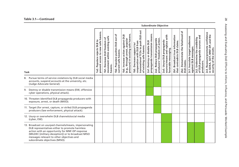|                                                                                                                                                                                                                                                                                                 |                                                                       |                                                                          |                                                         |                                                                                                            |                                                                                                                          |                                                               | <b>Subordinate Objective</b>                                       |                                                                                     |                                                                 |                                                    |                                                          |                                                                                  |                                                                                                           |
|-------------------------------------------------------------------------------------------------------------------------------------------------------------------------------------------------------------------------------------------------------------------------------------------------|-----------------------------------------------------------------------|--------------------------------------------------------------------------|---------------------------------------------------------|------------------------------------------------------------------------------------------------------------|--------------------------------------------------------------------------------------------------------------------------|---------------------------------------------------------------|--------------------------------------------------------------------|-------------------------------------------------------------------------------------|-----------------------------------------------------------------|----------------------------------------------------|----------------------------------------------------------|----------------------------------------------------------------------------------|-----------------------------------------------------------------------------------------------------------|
| Task                                                                                                                                                                                                                                                                                            | prevent access to new safe havens.<br>°,<br>1a2. Populace rejects DLB | movement within existing safe<br>1b1. Decrease DLB freedom of<br>havens. | 1b2. Populace pushes DLB out of<br>current safe havens. | pressure) in existing safe havens<br>against DLB<br>(e.g., through arrest, popular<br>1b3. Increase action | transnational TCOs to push DLB out<br>1b5. Decrease support to/<br>cooperation with DLB from<br>of existing safe havens. | propaganda transmission means.<br>2a1. Destroy or disable DLB | action<br>2a2. Reduce DLB propaganda<br>ъ<br>freedom<br>producers' | sources/means and replace with<br>2a3. Usurp DLB propaganda<br>favorable messaging. | 2b1. Broadcast true information<br>that contradicts DLB claims. | ৳<br>2b2. Demonstrate the falsehood<br>DLB claims. | 2c1. Inoculate target audiences<br>against DLB messages. | sources and<br>2c2. Undermine the credibility<br>of DLB propaganda<br>producers. | confidence<br>2c3. Reassure/promote confiden<br>in GOKA, GOT, MNF-DP, and the<br>security of the straits. |
| 8. Pursue terms-of-service violations by DLB social media<br>accounts, suspend accounts at the university, etc.<br>(Judge Advocate General).                                                                                                                                                    |                                                                       |                                                                          |                                                         |                                                                                                            |                                                                                                                          |                                                               |                                                                    |                                                                                     |                                                                 |                                                    |                                                          |                                                                                  |                                                                                                           |
| 9. Destroy or disable transmission means (EW, offensive<br>cyber operations, physical attack).                                                                                                                                                                                                  |                                                                       |                                                                          |                                                         |                                                                                                            |                                                                                                                          |                                                               |                                                                    |                                                                                     |                                                                 |                                                    |                                                          |                                                                                  |                                                                                                           |
| 10. Threaten identified DLB propaganda producers with<br>exposure, arrest, or death (MISO).                                                                                                                                                                                                     |                                                                       |                                                                          |                                                         |                                                                                                            |                                                                                                                          |                                                               |                                                                    |                                                                                     |                                                                 |                                                    |                                                          |                                                                                  |                                                                                                           |
| 11. Target (for arrest, capture, or strike) DLB propaganda<br>producers (law enforcement, physical attack).                                                                                                                                                                                     |                                                                       |                                                                          |                                                         |                                                                                                            |                                                                                                                          |                                                               |                                                                    |                                                                                     |                                                                 |                                                    |                                                          |                                                                                  |                                                                                                           |
| 12. Usurp or overwhelm DLB channels/social media<br>(cyber, EW).                                                                                                                                                                                                                                |                                                                       |                                                                          |                                                         |                                                                                                            |                                                                                                                          |                                                               |                                                                    |                                                                                     |                                                                 |                                                    |                                                          |                                                                                  |                                                                                                           |
| 13. Broadcast on usurped channels/means, impersonating<br>DLB representatives either to promote harmless<br>action with an opportunity for MNF-DP response<br>(MILDEC [military deception]) or to broadcast MISO<br>messages relevant to other objectives and<br>subordinate objectives (MISO). |                                                                       |                                                                          |                                                         |                                                                                                            |                                                                                                                          |                                                               |                                                                    |                                                                                     |                                                                 |                                                    |                                                          |                                                                                  |                                                                                                           |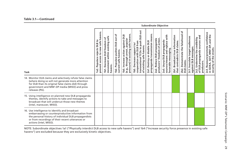|                                                                                                                                                                                                                                            | <b>Subordinate Objective</b> |                                                                                             |                                                           |                                                                                                               |                                                                                                                                    |                                                                         |                                                            |                                                                                           |                                                                 |                                                    |                                                            |                                                                                  |                                                                                                    |
|--------------------------------------------------------------------------------------------------------------------------------------------------------------------------------------------------------------------------------------------|------------------------------|---------------------------------------------------------------------------------------------|-----------------------------------------------------------|---------------------------------------------------------------------------------------------------------------|------------------------------------------------------------------------------------------------------------------------------------|-------------------------------------------------------------------------|------------------------------------------------------------|-------------------------------------------------------------------------------------------|-----------------------------------------------------------------|----------------------------------------------------|------------------------------------------------------------|----------------------------------------------------------------------------------|----------------------------------------------------------------------------------------------------|
| Task                                                                                                                                                                                                                                       |                              | safe<br>۴<br>freedom<br>existing<br><b>B</b><br>movement within<br>1b1. Decrease<br>havens. | out of<br>1b2. Populace pushes DLB<br>current safe havens | pressure) in existing safe havens<br>against DLB<br>(e.g., through arrest, popular<br>action<br>1b3. Increase | ă<br>DLB<br>to push<br>cooperation with DLB from<br>support to/<br>of existing safe havens.<br>transnational TCOs<br>1b5. Decrease | transmission means<br>DLB<br>disable<br>ŏ<br>2a1. Destroy<br>propaganda | producers' freedom of action<br>2a2. Reduce DLB propaganda | and replace with<br>propaganda<br>favorable messaging.<br>2a3. Usurp DLB<br>sources/means | 2b1. Broadcast true information<br>that contradicts DLB claims. | ৳<br>2b2. Demonstrate the falsehood<br>DLB claims. | target audiences<br>against DLB messages<br>2c1. Inoculate | sources and<br>2c2. Undermine the credibility<br>of DLB propaganda<br>producers. | 2c3. Reassure/promote confidence<br>GOT, MNF-DP, and the<br>straits<br>security of the<br>in GOKA, |
| 14. Monitor DLB claims and selectively refute false claims<br>(where doing so will not generate more attention<br>for DLB than its original false claims did) through<br>government and MNF-DP media (MISO) and press<br>releases (PA).    |                              |                                                                                             |                                                           |                                                                                                               |                                                                                                                                    |                                                                         |                                                            |                                                                                           |                                                                 |                                                    |                                                            |                                                                                  |                                                                                                    |
| 15. Using intelligence on planned new DLB propaganda<br>themes, identify actions to take and messages to<br>broadcast that will undercut those new themes<br>(intel, maneuver, MISO).                                                      |                              |                                                                                             |                                                           |                                                                                                               |                                                                                                                                    |                                                                         |                                                            |                                                                                           |                                                                 |                                                    |                                                            |                                                                                  |                                                                                                    |
| 16. Use intelligence to identify and broadcast<br>embarrassing or counterproductive information from<br>the personal history of individual DLB propagandists<br>or from recordings of their recent utterances or<br>actions (intel, MISO). |                              |                                                                                             |                                                           |                                                                                                               |                                                                                                                                    |                                                                         |                                                            |                                                                                           |                                                                 |                                                    |                                                            |                                                                                  |                                                                                                    |

NOTE: Subordinate objectives 1a1 ("Physically interdict DLB access to new safe havens") and 1b4 ("Increase security force presence in existing safe havens") are excluded because they are exclusively kinetic objectives.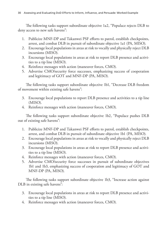The following tasks support subordinate objective 1a2, "Populace rejects DLB to deny access to new safe havens":

- 1. Publicize MNF-DP and Takanwei PSF efforts to patrol, establish checkpoints, arrest, and combat DLB in pursuit of subordinate objective 1a1 (PA, MISO).
- 2. Encourage local populations in areas at risk to vocally and physically reject DLB incursions (MISO).
- 3. Encourage local populations in areas at risk to report DLB presence and activities to a tip line (MISO).
- 4. Reinforce messages with action (maneuver forces, CMO).
- 5. Advertise CMO/security force successes, emphasizing success of cooperation and legitimacy of GOT and MNF-DP (PA, MISO).

The following tasks support subordinate objective 1b1, "Decrease DLB freedom of movement within existing safe havens":

- 3. Encourage local populations to report DLB presence and activities to a tip line (MISO).
- 4. Reinforce messages with action (maneuver forces, CMO).

The following tasks support subordinate objective 1b2, "Populace pushes DLB out of existing safe havens":

- 1. Publicize MNF-DP and Takanwei PSF efforts to patrol, establish checkpoints, arrest, and combat DLB in pursuit of subordinate objective 1b1 (PA, MISO).
- 2. Encourage local populations in areas at risk to vocally and physically reject DLB incursions (MISO).
- 3. Encourage local populations in areas at risk to report DLB presence and activities to a tip line (MISO).
- 4. Reinforce messages with action (maneuver forces, CMO).
- 5. Advertise CMO/security force successes in pursuit of subordinate objectives 1b1 and 1b3, emphasizing success of cooperation and legitimacy of GOT and MNF-DP (PA, MISO).

The following tasks support subordinate objective 1b3, "Increase action against DLB in existing safe havens":

- 3. Encourage local populations in areas at risk to report DLB presence and activities to a tip line (MISO).
- 4. Reinforce messages with action (maneuver forces, CMO).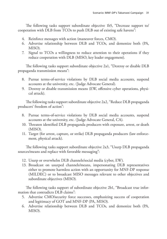The following tasks support subordinate objective 1b5, "Decrease support to/ cooperation with DLB from TCOs to push DLB out of existing safe havens":

- 4. Reinforce messages with action (maneuver forces, CMO).
- 6. Advertise relationship between DLB and TCOs, and demonize both (PA, MISO).
- 7. Signal to TCOs a willingness to reduce attention to their operations if they reduce cooperation with DLB (MISO, key leader engagement).

The following tasks support subordinate objective 2a1, "Destroy or disable DLB propaganda transmission means":

- 8. Pursue terms-of-service violations by DLB social media accounts, suspend accounts at the university, etc. (Judge Advocate General).
- 9. Destroy or disable transmission means (EW, offensive cyber operations, physical attack).

The following tasks support subordinate objective 2a2, "Reduce DLB propaganda producers' freedom of action":

- 8. Pursue terms-of-service violations by DLB social media accounts, suspend accounts at the university, etc. (Judge Advocate General, CA).
- 10. Threaten identified DLB propaganda producers with exposure, arrest, or death (MISO).
- 11. Target (for arrest, capture, or strike) DLB propaganda producers (law enforcement, physical attack).

The following tasks support subordinate objective 2a3, "Usurp DLB propaganda sources/means and replace with favorable messaging":

- 12. Usurp or overwhelm DLB channels/social media (cyber, EW).
- 13. Broadcast on usurped channels/means, impersonating DLB representatives either to promote harmless action with an opportunity for MNF-DP response (MILDEC) or to broadcast MISO messages relevant to other objectives and subordinate objectives (MISO).

The following tasks support of subordinate objective 2b1, "Broadcast true information that contradicts DLB claims":

- 5. Advertise CMO/security force successes, emphasizing success of cooperation and legitimacy of GOT and MNF-DP (PA, MISO).
- 6. Advertise relationship between DLB and TCOs, and demonize both (PA, MISO).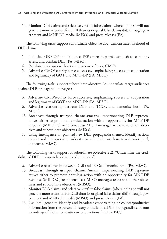14. Monitor DLB claims and selectively refute false claims (where doing so will not generate more attention for DLB than its original false claims did) through government and MNF-DP media (MISO) and press releases (PA).

The following tasks support subordinate objective 2b2, demonstrate falsehood of DLB claims:

- 1. Publicize MNF-DP and Takanwei PSF efforts to patrol, establish checkpoints, arrest, and combat DLB (PA, MISO).
- 4. Reinforce messages with action (maneuver forces, CMO).
- 5. Advertise CMO/security force successes, emphasizing success of cooperation and legitimacy of GOT and MNF-DP (PA, MISO).

The following tasks support subordinate objective 2c1, inoculate target audiences against DLB propaganda messages:

- 5. Advertise CMO/security force successes, emphasizing success of cooperation and legitimacy of GOT and MNF-DP (PA, MISO).
- 6. Advertise relationship between DLB and TCOs, and demonize both (PA, MISO).
- 13. Broadcast through usurped channels/means, impersonating DLB representatives either to promote harmless action with an opportunity for MNF-DP response (MILDEC) or to broadcast MISO messages relevant to other objectives and subordinate objectives (MISO).
- 15. Using intelligence on planned new DLB propaganda themes, identify actions to take and messages to broadcast that will undercut those new themes (intel, maneuver, MISO).

The following tasks support of subordinate objective 2c2, "Undermine the credibility of DLB propaganda sources and producers":

- 6. Advertise relationship between DLB and TCOs, demonize both (PA, MISO).
- 13. Broadcast through usurped channels/means, impersonating DLB representatives either to promote harmless action with an opportunity for MNF-DP response (MILDEC) or to broadcast MISO messages relevant to other objectives and subordinate objectives (MISO).
- 14. Monitor DLB claims and selectively refute false claims (where doing so will not generate more attention for DLB than its original false claims did) through government and MNF-DP media (MISO) and press releases (PA).
- 16. Use intelligence to identify and broadcast embarrassing or counterproductive information from the personal history of individual DLB propagandists or from recordings of their recent utterances or actions (intel, MISO).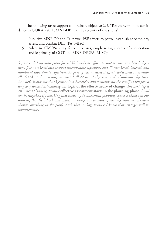The following tasks support subordinate objective 2c3, "Reassure/promote confidence in GOKA, GOT, MNF-DP, and the security of the straits":

- 1. Publicize MNF-DP and Takanwei PSF efforts to patrol, establish checkpoints, arrest, and combat DLB (PA, MISO).
- 5. Advertise CMO/security force successes, emphasizing success of cooperation and legitimacy of GOT and MNF-DP (PA, MISO).

*So, we ended up with plans for 16 IRC tasks or efforts to support two numbered objectives, five numbered and lettered intermediate objectives, and 15 numbered, lettered, and numbered subordinate objectives. As part of our assessment effort, we'll need to monitor all 16 tasks and assess progress toward all 22 nested objectives and subordinate objectives. As noted, laying out the objectives in a hierarchy and breaking out the specific tasks goes a long way toward articulating our* **logic of the effort/theory of change***. The next step is assessment planning, because* **effective assessment starts in the planning phase***. I will not be surprised if something that comes up in assessment planning causes a change in our thinking that feeds back and makes us change one or more of our objectives (or otherwise change something in the plan). And, that is okay, because I know those changes will be improvements.*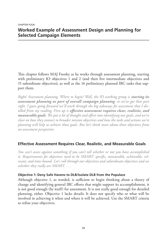# **Worked Example of Assessment Design and Planning for Selected Campaign Elements**

This chapter follows MAJ Fnorky as he works through assessment planning, starting with preliminary IO objectives 1 and 2 (and their five intermediate objectives and 15 subordinate objectives), as well as the 16 preliminary planned IRC tasks that support them.

*Right! Assessment planning. Where to begin? Well, the IO working group is starting its assessment planning as part of overall campaign planning, so we've got that part right. I guess going forward we'll work through the big takeways for assessment that I distilled from my reading. First up is effective assessment requires clear, realistic, and measurable goals. We put a lot of thought and effort into identifying our goals, and we're clear on how they connect to broader mission objectives and how the tasks and actions we're planning will help us achieve those goals. But let's think more about those objectives from an assessment perspective.*

# **Effective Assessment Requires Clear, Realistic, and Measurable Goals**

*You can't assess against something if you can't tell whether or not you have accomplished it. Requirements for objectives need to be SMART: specific, measurable, achievable, relevant, and time-bound. Let's roll through our objectives and subordinate objectives and see whether they really are SMART. . . .*

# **Objective 1: Deny Safe Havens to DLB/Isolate DLB from the Populace**

Although objective 1, as worded, is sufficient to begin thinking about a theory of change and identifying general IRC efforts that might support its accomplishment, it is not good enough (by itself) for assessment. It is not really good enough for detailed planning, either. Objective 1 lacks details: It does not specify who or what will be involved in achieving it when and where it will be achieved. Use the SMART criteria to refine your objectives.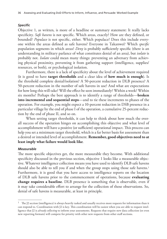# *Specific*

Objective 1, as written, is more of a headline or summary statement: It really lacks specificity. *Safe havens* is not specific. Which areas, exactly? How are they defined, or bounded? *Populace* is not specific, either. Which populace? Does this include everyone within the areas defined as safe havens? Everyone in Takanwei? Which *specific* population segments in which areas? *Deny* is probably sufficiently specific (there is an understanding in military parlance of what constitutes denial of an area), but *isolate* is probably not. *Isolate* could mean many things: preventing an adversary from achieving physical proximity, preventing it from gathering support (intelligence, supplies/ resources, or both), or psychological isolation.

Furthermore, there is a lack of specificity about the level of achievement required (it is good to have **target thresholds** and a clear idea of **how much is enough**). Is the threshold complete denial/isolation? A 50-percent reduction in DLB presence? A 50-percent reduction in the number of safe havens in use? And what are expectations for how long this will take? Will the effect be seen immediately? Within a week? Within six months? Perhaps the best approach is to identify a range of thresholds—**broken into incremental and sequential steps**—and to tie these increments to phases of the operation. For example, you might expect a 10-percent reduction in DSB presence in a particular village by the end of phase I of the operation, a cumulative 25-percent reduction by the end of phase II, and so on.

When setting target thresholds, it can help to think about how much the overall success of the operation hinges on accomplishing this objective and what level of accomplishment will have a positive (or sufficient) operational impact. This process can help you set a minimum target threshold, which is a far better basis for assessment than a desired or intended level of accomplishment. **Remember, good objectives need to at least imply what failure would look like***.*

# *Measurable*

The more specific objectives get, the more measurable they become. With additional specificity discussed in the previous section, objective 1 looks like a measurable objective. Whatever intelligence collection means you have used to identify DLB safe havens should also be able to tell you if and when the group stops using those safe havens.<sup>1</sup> Furthermore, it is good that you have access to intelligence reports on the location of DLB safe havens prior to the commencement of operations, because **evaluating change requires a baseline**. DLB presence is something that is observable, even if it may take considerable effort to arrange for the collection of those observations. So, denial of safe havens is measurable, at least in principle.

 $1$  The J2 section (intelligence) is always heavily tasked and usually receives more requests for information than it can respond to. Coordination with J2 is key. This coordination will be easiest when you are able to request intelligence that J2 is *already collecting* to inform your assessments. Requests that require new data collection (or even new reporting formats) will compete for priority with other new requests from other staff sections.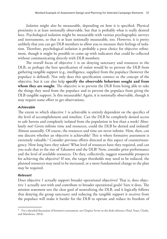*Isolation* might also be measurable, depending on how it is specified. Physical proximity is at least notionally observable, but that is probably what is really desired here. Psychological isolation might be measurable with various psychographic surveys and instruments, so that is at least notionally measurable, too. However, it is pretty unlikely that you can get DLB members to allow you to measure their feelings of isolation. Therefore, psychological isolation is probably a poor choice for objective refinement, though it might be possible to come up with indicators that could be collected without communicating directly with DLB members.

The overall focus of objective 1 is on denying sanctuary and resources to the DLB, so perhaps the best specification of *isolate* would be to prevent the DLB from gathering tangible support (e.g., intelligence, supplies) from the populace (however the populace is defined). Not only does this specification connect to the concept of the objective, but it can also help **specify the observable behaviors sought and from whom they are sought**. The objective is to prevent the DLB from being able to take the things they need from the populace and to prevent the populace from *giving* the DLB tangible support. Is this measurable? Again, it is notionally observable, though it may require some effort to get observations.

### *Achievable*

The extent to which objective 1 is achievable is entirely dependent on the specifics of the level of accomplishment and timeline. Can the DLB be completely denied access to safe havens and completely isolated from the population in less than a week? Absolutely not! Given infinite time and resources, could the DLB be denied and isolated? Almost assuredly. Of course, the resources and time are never infinite. How, then, can one discern whether an objective is achievable? This is where formative assessment is extremely valuable.<sup>2</sup> Consider previous efforts directed at this aspect of counterinsurgency. How long have they taken? What level of resources have they required, and can you scale that to the size of Takanwei and the DLB? Now, consider prior performance and the level of available resources. Do they, collectively, suggest reasonable prospects for achieving the objective? If not, the target thresholds may need to be reduced, the planned resources may need to be increased, or a more fundamental change to the plan may be required.

#### *Relevant*

Does objective 1 actually support broader operational objectives? That is, does objective 1 actually *nest* with and contribute to broader operational goals? Sure it does. The mission statement sets the clear goal of neutralizing the DLB, and it logically follows that denying the group sanctuary and reducing the tangible support it receives from the populace will make it harder for the DLB to operate and reduce its freedom of

 $2$  For a detailed discussion of formative assessment, see Chapter Seven in the desk reference (Paul, Yeats, Clarke, and Matthews, 2014).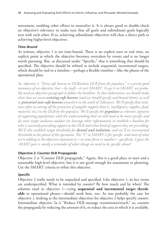movement, enabling other efforts to neutralize it. It is always good to double-check an objective's relevance to make sure that all goals and subordinate goals logically nest with each other. If so, achieving subordinate objectives will clear a direct path to achieving higher-level objectives.

# *Time-Bound*

As written, objective 1 is *not* time-bound. There is no explicit start or end time, no explicit point at which the objective becomes overtaken by events and is no longer worth pursuing. But, as discussed under "Specific," that is something that should be specified. The objective should be refined to include sequential, incremental targets, which should be tied to a timeline—perhaps a flexible timeline—like the phases of the operational plan.

*So, objective 1, "Deny safe havens to DLB/isolate DLB from the populace," is a pretty good summary of an objective, but—by itself—it isn't SMART. To get it to SMART, we probably need an objective paragraph to follow the headline. In that elaboration, we should make clear that we mean existing safe havens (and we should specify and bound them), as well as potential new safe havens anywhere in the south of Takanwei. We'll specify that isolation refers to cutting off the provision of tangible support (that is, intelligence, supplies, food, materiel, etc.) to the DLB by the populace. We'll specify the populace as relevant segments of supporting populations with the understanding that we still need to be more specific and do some target audience analysis (or leverage other information) to establish a baseline for who is currently providing support to the DLB and what kind of support they are providing. We'll also establish target thresholds for denial and isolation, and we'll tie incremental thresholds to the phases of the operation. The "S" in SMART is for specific, and most of what we're adding to the objective statement is—in some form or another—specificity. I guess the -MART part is mostly a reminder of other things we need to be specific about!*

# **Objective 2: Counter DLB Propaganda**

Objective 2 is "Counter DLB propaganda." Again, this is a good place to start and a reasonable high-level objective, but it is not good enough for assessment or planning. Use the SMART criteria to refine this objective.

# *Specific*

Objective 2 really needs to be unpacked and specified. Like objective 1, its key terms are underspecified. What is intended by *counter*? By how much and by when? The solution used in objective 1—tying **sequential and incremental target thresholds** to operational phases—should work here, too. As was probably the case for objective 1, looking at the intermediate objectives for objective 2 helps specify *counter*. Intermediate objective 2a is "Reduce DLB message transmission/reach," so, counter the propaganda by reducing the amount of it, or reduce the area in which it is available.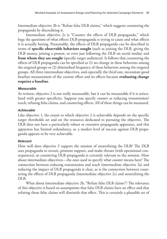Intermediate objective 2b is "Refute false DLB claims," which suggests countering the propaganda by discrediting it.

Intermediate objective 2c is "Counter the effects of DLB propaganda," which begs the questions of what effects DLB propaganda is trying to cause and what effects it is actually having. Presumably, the effects of DLB propaganda can be described in terms of **specific observable behaviors sought** (such as joining the DLB, giving the DLB money, joining a protest, or even just following the DLB on social media) and **from whom they are sought** (specific target audiences). It follows that countering the effects of DLB propaganda can be specified as (1) no change in these behaviors among the targeted groups or (2) diminished frequency of these behaviors among the targeted groups. All three intermediate objectives, and especially the third one, necessitate good baseline measurement of the current effort and its effects because **evaluating change requires a baseline**.

# *Measurable*

As written, objective 2 is not really measurable, but it can be measurable if it is articulated with greater specificity. Suppose you specify *counter* as reducing transmission/ reach, refuting false claims, and countering effects. All of these things can be measured.

# *Achievable*

Like objective 1, the extent to which objective 2 is achievable depends on the specific target thresholds set and on the resources dedicated to pursuing the objective. The DLB does not have a particularly robust or extensive propaganda apparatus, and this apparatus has limited redundancy, so a modest level of success against DLB propaganda appears to be very achievable.

# *Relevant*

How well does objective 2 support the mission of neutralizing the DLB? The DLB uses propaganda to recruit, promote support, and make threats (with operational consequences), so countering DLB propaganda is certainly relevant to the mission. How about intermediate objectives—the ones used to specify what *counter* means here? The connection between reducing transmission and reach (intermediate objective 2a) and reducing the impact of DLB propaganda is clear, as is the connection between countering the effects of DLB propaganda (intermediate objective 2c) and neutralizing the DLB.

What about intermediate objective 2b, "Refute false DLB claims"? The relevance of this objective is based on assumptions that false DLB claims have an effect and that refuting those false claims will diminish that effect. This is certainly a plausible set of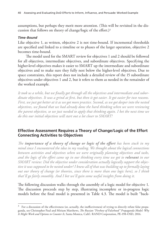assumptions, but perhaps they merit more attention. (This will be revisited in the discussion that follows on theory of change/logic of the effort.)3

#### *Time-Bound*

Like objective 1, as written, objective 2 is not time-bound. If incremental thresholds are specified and linked to a timeline or to phases of the larger operation, objective 2 becomes time-bound.

The model used for the SMART review for objectives 1 and 2 should be followed for all objectives, intermediate objectives, and subordinate objectives. Specifying the higher-level objectives makes it easier to SMART up the intermediate and subordinate objectives and to make sure they fully nest below the higher-level objectives. Due to space constraints, this report does not include a detailed review of the 15 subordinate objectives under objectives 1 and 2, but it refers to them as needed in the remainder of the worked example.

*It took us a while, but we finally got through all the objectives and intermediate and subordinate objectives. It was a grind at first, but then it got easier. It got easier for two reasons. First, we just got better at it as we got more practice. Second, as we got deeper into the nested objectives, we found that we had already done the hard thinking when we were reviewing the parent objective, so we just needed to apply that thinking again. I bet the next time we do this our initial objectives will start out a lot closer to SMART!* 

# **Effective Assessment Requires a Theory of Change/Logic of the Effort Connecting Activities to Objectives**

*The importance of a theory of change or logic of the effort has been stuck in my mind since I encountered the idea in my reading. We thought about the logical connections between activities and objectives when we were originally planning objectives and tasks,*  and the logic of the effort came up in our thinking every time we got to *relevant* in our *SMART review: Did the objective under consideration actually logically support the objective it was supposed to be nested under? I knew all of that was building up to formally laying out our theory of change (or theories, since there is more than one logic here), so I think that'll go fairly smoothly. And I bet we'll gain some useful insights from doing it.*

The following discussion walks through the assembly of a logic model for objective 1. The discussion proceeds step by step, illustrating incomplete or in-progress logic models before the final model is presented in Table 4.3. The model is built "back-

 $3$  For a discussion of the effectiveness (or, actually, the ineffectiveness) of trying to directly refute false propaganda, see Christopher Paul and Miriam Matthews, *The Russian "Firehose of Falsehood" Propaganda Model: Why It Might Work and Options to Counter It*, Santa Monica, Calif.: RAND Corporation, PE-198-OSD, 2016.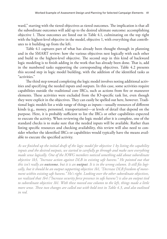ward," starting with the tiered objectives as tiered outcomes. The implication is that all the subordinate outcomes will add up to the desired ultimate outcome: accomplishing objective 1. These outcomes are listed out in Table 4.1, culminating on the top right with the highest-level objective in the model, objective 1, with everything that contributes to it building up from the left.

Table 4.1 captures part of what has already been thought through in planning and in the SMART review: how the various objectives nest logically with each other and build to the highest-level objective. The second step in this kind of backward logic modeling is to finish adding in the work that has already been done. That is, add in the numbered tasks supporting the corresponding objectives. Table 4.2 presents this second step in logic model building, with the addition of the identified tasks as "activities."

The third step toward completing the logic model involves noting additional activities and specifying the needed inputs and outputs. In this case, some activities require capabilities outside the traditional core IRCs, such as actions from fire or maneuver elements. These activities were excluded from the IO-specific task list, even though they were explicit in the objectives. They can easily be spelled out here, however. Traditional logic models list a wide range of things as inputs—usually resources of different kinds (e.g., money, personnel, transportation)—at levels of detail that depend on the purpose. Here, it is probably sufficient to list the IRCs or other capabilities expected to execute the activity. When reviewing the logic model after it is complete, one of the standard checks is to make sure that the needed inputs will be available. Rather than listing specific resources and checking availability, this review will also need to consider whether the identified IRCs or capabilities would typically have the means available to execute the specified activity.

*As we finished up the initial draft of the logic model for objective 1 by listing the capability inputs and the desired outputs, we started to carefully go through and make sure everything made sense logically. One of the IOWG members noticed something odd about subordinate objective 1b3, "Increase action against DLB in existing safe havens." He pointed out that this isn't really an outcome, but it is an output. It is in the wrong column. It still fits logically, but it should be an output supporting objective 1b1, "Decrease DLB freedom of movement within existing safe havens." He's right. Looking over the other subordinate objectives, we realized that 1b4 ("Increase security force presence in safe havens") is also an output tied to subordinate objective 1b1. With these moved one column to the left, things made a little more sense. These two changes are called out with bold text in Table 4.3, and also outlined in red.*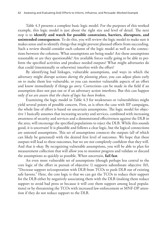Table 4.3 presents a complete basic logic model. For the purposes of this worked example, this logic model is just about the right size and level of detail. The next step is to **identify and watch for possible constraints, barriers, disruptors, and unintended consequences**. To do this, you will review the logic model to make sure it makes sense and to identify things that might prevent planned efforts from succeeding. Such a review should consider each column of the logic model as well as the connections between the columns. What assumptions are being made? Are those assumptions reasonable or are they questionable? Are available forces really going to be able to perform the specified activities and produce needed outputs? What might adversaries do that could (intentionally or otherwise) interfere with the effort?

By identifying bad linkages, vulnerable assumptions, and ways in which the adversary might disrupt actions *during the planning phase*, you can adjust plans early on to make them less vulnerable, or you can monitor vulnerable aspects of an effort and know immediately if things go awry. Corrections can be made in the field if an assumption does not pan out or if an adversary action interferes. But this can happen only *if we are aware that the chain of logic has been broken*.

Examining the logic model in Table 4.3 for weaknesses or vulnerabilities might yield several points of possible concern. First, as is often the case with IIP campaigns, the whole line of effort is based on uncertain assumptions. The logic model for objective 1 basically assumes that increasing security and services, combined with increasing awareness of security and services and a demonstrated effectiveness against the DLB in the area, will encourage the specified populations to reject the DLB. While this sounds good, it is uncertain! It is plausible and follows a clear logic, but the logical connections are untested assumptions. This set of assumptions connects the outputs (all of which can likely be generated) with the desired first level of outcomes. We hope that these outputs will lead to these outcomes, but we are not completely confident that they will. And that is okay. By recognizing vulnerable assumptions, you will be able to plan for measurement collection that will allow you to monitor progress and validate or discard the assumptions as quickly as possible. When uncertain, **fail fast**.

An even more vulnerable set of assumptions (though perhaps less central to the core logic of the effort in pursuit of objective 1) supports subordinate objective 1b5, "Decrease support to/cooperation with DLB from TCOs to push DLB out of existing safe havens." Here, the core logic is that we can get the TCOs to reduce their support for the DLB either by negatively associating them with the DLB (making them reduce support to avoid bad press or because it will cost them support among local populations) or by threatening the TCOs with increased law-enforcement or MNF-DP attention if they do not reduce support to the DLB.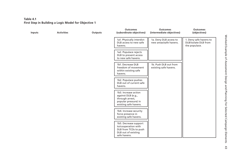#### **Table 4.1First Step in Building a Logic Model for Objective 1**

| Inputs | <b>Activities</b> | Outputs | <b>Outcomes</b><br>(subordinate objectives)                                                                    | <b>Outcomes</b><br>(intermediate objectives)     | <b>Outcomes</b><br>(objectives)                                 |
|--------|-------------------|---------|----------------------------------------------------------------------------------------------------------------|--------------------------------------------------|-----------------------------------------------------------------|
|        |                   |         | 1a1. Physically interdict<br>DLB access to new safe<br>havens.                                                 | 1a. Deny DLB access to<br>new areas/safe havens. | 1. Deny safe havens to<br>DLB/isolate DLB from<br>the populace. |
|        |                   |         | 1a2. Populace rejects<br>DLB to prevent access<br>to new safe havens.                                          |                                                  |                                                                 |
|        |                   |         | 1b1. Decrease DLB<br>freedom of movement<br>within existing safe<br>havens.                                    | 1b. Push DLB out from<br>existing safe havens.   |                                                                 |
|        |                   |         | 1b2. Populace pushes<br>DLB out of current safe<br>havens.                                                     |                                                  |                                                                 |
|        |                   |         | 1b3. Increase action<br>against DLB (e.g.,<br>through arrest,<br>popular pressure) in<br>existing safe havens. |                                                  |                                                                 |
|        |                   |         | 1b4. Increase security<br>force presence in<br>existing safe havens.                                           |                                                  |                                                                 |
|        |                   |         | 1b5. Decrease support<br>to/cooperation with<br>DLB from TCOs to push<br>DLB out of existing<br>safe havens.   |                                                  |                                                                 |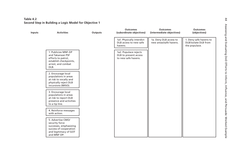| Inputs | <b>Activities</b>                                                                                                               | Outputs | <b>Outcomes</b><br>(subordinate objectives)                           | <b>Outcomes</b><br>(intermediate objectives)     | <b>Outcomes</b><br>(objectives)                                 |
|--------|---------------------------------------------------------------------------------------------------------------------------------|---------|-----------------------------------------------------------------------|--------------------------------------------------|-----------------------------------------------------------------|
|        |                                                                                                                                 |         | 1a1. Physically interdict<br>DLB access to new safe<br>havens.        | 1a. Deny DLB access to<br>new areas/safe havens. | 1. Deny safe havens to<br>DLB/isolate DLB from<br>the populace. |
|        | 1. Publicize MNF-DP<br>and Takanwei PSF<br>efforts to patrol,<br>establish checkpoints,<br>arrest, and combat<br>DLB.           |         | 1a2. Populace rejects<br>DLB to prevent access<br>to new safe havens. |                                                  |                                                                 |
|        | 2. Encourage local<br>populations in areas<br>at risk to vocally and<br>physically reject DLB<br>incursions (MISO).             |         |                                                                       |                                                  |                                                                 |
|        | 3. Encourage local<br>populations in areas<br>at risk to report DLB<br>presence and activities<br>to a tip line.                |         |                                                                       |                                                  |                                                                 |
|        | 4. Reinforce messages<br>with action.                                                                                           |         |                                                                       |                                                  |                                                                 |
|        | 5. Advertise CMO/<br>security force<br>successes, emphasizing<br>success of cooperation<br>and legitimacy of GOT<br>and MNF-DP. |         |                                                                       |                                                  |                                                                 |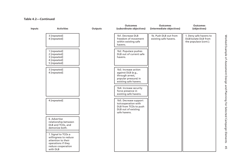#### **Table 4.2—Continued**

| Inputs | <b>Activities</b>                                                                                                          | Outputs | <b>Outcomes</b><br>(subordinate objectives)                                                                    | <b>Outcomes</b><br>(intermediate objectives)   | <b>Outcomes</b><br>(objectives)                                         |
|--------|----------------------------------------------------------------------------------------------------------------------------|---------|----------------------------------------------------------------------------------------------------------------|------------------------------------------------|-------------------------------------------------------------------------|
|        | 3 [repeated]<br>4 [repeated]                                                                                               |         | 1b1. Decrease DLB<br>freedom of movement<br>within existing safe<br>havens.                                    | 1b. Push DLB out from<br>existing safe havens. | 1. Deny safe havens to<br>DLB/isolate DLB from<br>the populace (cont.). |
|        | 1 [repeated]<br>2 [repeated]<br>3 [repeated]<br>4 [repeated]<br>5 [repeated]                                               |         | 1b2. Populace pushes<br>DLB out of current safe<br>havens.                                                     |                                                |                                                                         |
|        | 3 [repeated]<br>4 [repeated]                                                                                               |         | 1b3. Increase action<br>against DLB (e.g.,<br>through arrest,<br>popular pressure) in<br>existing safe havens. |                                                |                                                                         |
|        |                                                                                                                            |         | 1b4. Increase security<br>force presence in<br>existing safe havens.                                           |                                                |                                                                         |
|        | 4 [repeated]                                                                                                               |         | 1b5. Decrease support<br>to/cooperation with<br>DLB from TCOs to push<br>DLB out of existing<br>safe havens.   |                                                |                                                                         |
|        | 6. Advertise<br>relationship between<br>DLB and TCOs, and<br>demonize both.                                                |         |                                                                                                                |                                                |                                                                         |
|        | 7. Signal to TCOs a<br>willingness to reduce<br>attention to their<br>operations if they<br>reduce cooperation<br>with DLB |         |                                                                                                                |                                                |                                                                         |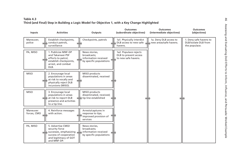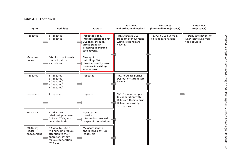#### **Table 4.3—Continued**

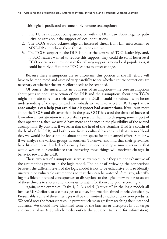This logic is predicated on some fairly tenuous assumptions:

- 1. The TCOs care about being associated with the DLB, care about negative publicity, or care about the support of local populations.
- 2. The TCOs would acknowledge an increased threat from law enforcement or MNF-DP and believe those threats to be credible.
- 3. The TCOs support to the DLB is under the control of TCO leadership, and, if TCO leaders wanted to reduce this support, they could do so. If lower-level TCO operatives are responsible for rallying support among local populations, it could be fairly difficult for TCO leaders to effect change.

Because these assumptions are so uncertain, this portion of the IIP effort will have to be monitored and assessed very carefully to see whether course corrections are necessary or whether the entire effort needs to be scrapped.

Of course, the uncertainty in both sets of assumptions—the core assumptions about paths to popular rejection of the DLB and the assumptions about how TCOs might be made to reduce their support to the DLB—could be reduced with better understanding of the groups and individuals we want to reject DLB. **Target audience analysis can help you avoid (or diagnose) bad assumptions.** If we learn more about the TCOs and discover that, in the past, GOT has used the threat of increased law-enforcement attention to successfully pressure them into changing some aspect of their operations, then we would have more confidence in the plausibility of the related assumptions. By contrast, if we learn that the head of the Termina Triad is a cousin of the head of the DLB, and both come from a cultural background that stresses blood ties, we would be less sanguine about the prospects for the planned effort. Similarly, if we analyze the various groups in southern Takanwei and find that their grievances have little to do with a lack of security force presence and government services, that would weaken our confidence that increasing these things will motivate changes in behavior toward the DLB.

These two sets of assumptions serve as examples, but they are not exhaustive of the assumptions present in the logic model. The point of reviewing the connections between the different levels of the logic model is not to be exhaustive; it is to identify uncertain or vulnerable assumptions so that they can be watched. Similarly, identifying possible unintended consequences or disruptions to the logical flow makes us aware of these threats to success and allows us to watch for them and plan accordingly.

Again, some examples. Tasks 1, 2, 3, and 5 ("activities" in the logic model) all involve MISO efforts to use messages to convey information aimed at behavior change. Presumably, some of these messages will be transmitted as radio or television products. We could note the factors that could prevent such messages from reaching their intended audience. We should have identified some of the barriers or disruptors in our target audience analysis (e.g., which media outlets the audience turns to for information).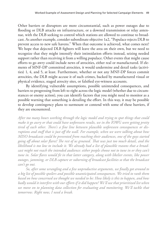Other barriers or disruptors are more circumstantial, such as power outages due to flooding or DLB attacks on infrastructure, or a downed transmission or relay antennae, with the DLB seeking to control which stations are allowed to continue to broadcast. As another example, consider subordinate objective 1a2, "Populace rejects DLB to prevent access to new safe havens." When that outcome is achieved, what comes next? We hope that dejected DLB fighters will leave the area on their own, but we need to recognize that they might intensify their intimidation efforts instead, seizing needed support rather than receiving it from a willing populace. Other events that might cause efforts to go awry could include news of atrocities, either real or manufactured. If elements of MNF-DP committed atrocities, it would undermine and derail tasks (activities) 1, 4, and 5, at least. Furthermore, whether or not any MNF-DP forces commit atrocities, the DLB might accuse it of such crimes, backed by manufactured visual or physical evidence, staged atrocity sites, or falsified eye-witness accounts.

By identifying vulnerable assumptions, possible unintended consequences, and barriers to progressing from left to right across the logic model (whether due to circumstances or enemy action), you can identify factors that you might need to monitor as a possible warning that something is derailing the effort. In this way, it may be possible to develop contingency plans to surmount or contend with some of these barriers, if they are encountered.

*After too many hours working through the logic model and trying to spot things that could make it go awry or that could have unforeseen results, we in the IOWG were getting pretty tired of each other. There's a fine line between plausible unforeseen consequences or disruptions and stuff that is just off the wall. For example, when we were talking about how MISO broadcasts could be prevented from reaching their audiences, one of the guys started going off about solar flares! The rest of us groaned. That was just too much detail, and the likelihood is too low to include it. We already had a list of plausible reasons that a broadcast might not reach the intended audience: either people choose not to tune in or they can't tune in. Solar flares would fit in that latter category, along with likelier events, like power outages, jamming, or DLB capture or suborning of broadcast facilities so that the broadcast can't go out.* 

*So, after some wrangling and a few unproductive arguments, we finally got around to a big list of possible spoilers and possible unanticipated consequences. We tried to rank them based on how concerned we thought we needed to be: How likely is this to happen, and how badly would it interfere with our efforts if it did happen? We'll use that prioritized list when*  we move on to planning data collection for evaluating and monitoring. We'll tackle that *tomorrow. Right now, I need a break.*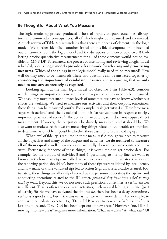#### **Be Thoughtful About What You Measure**

The logic modeling process produced a host of inputs, outputs, outcomes, disruptors, and unintended consequences, all of which might be measured and monitored. A quick review of Table 4.3 reminds us that there are dozens of elements in the logic model. We further identified another fistful of possible disruptors or unintended outcomes—and both the logic model and the disruptors only cover objective 1! Collecting precise quantitative measurements for all of these elements would not be feasible for MNF-DP. Fortunately, the process of assembling and reviewing a logic model is helpful, because **logic models provide a framework for selecting and prioritizing measures**. Which of the things in the logic model really need to be measured? How well do they need to be measured? These two questions can be answered together by **considering the importance of candidate measures** and recognizing that we **only need to measure as precisely as required**.

Looking again at the final logic model for objective 1 (in Table 4.3), consider which things are important to measure and how precisely they need to be measured. We absolutely must measure all three levels of outcomes; we have to know whether our efforts are working. We need to measure our activities and their outputs; sometimes, those things can be measured jointly. For example, task (activity) 4 is "Reinforce messages with action," and the associated output is "arrests/capture in response to tips, improved provision of service." The activity is nebulous, so it does not require direct measurement. However, the output can be directly measured, and it should be. We also want to make sure that we are measuring things related to vulnerable assumptions to determine as quickly as possible whether those assumptions are holding up.

What level of fidelity is required in these measures? Although we need to measure all the objectives and many of the outputs and activities, **we do not need to measure all of them equally well**. In some cases, we really do want precise counts and measures. Fortunately, for some of those things, it is very simple to get precise data. For example, for the outputs of activities 3 and 4, pertaining to the tip line, we want to know exactly how many tips are called in each week (or month, or whatever we decide the reporting period should be), how many of those tips were validated by intelligence, and how many of those validated tips led to action (e.g., an arrest, a cache seizure). Fortunately, these things are all easily observed by the personnel operating the tip line and conducting operations related to the IIP effort, *provided they have been asked to keep track of them*. Beyond this, we do not need such precision. Sometimes, a yes/no answer is sufficient. That is often the case with activities, such as establishing a tip line (part of activity 3): *Yes*, we have activated the tip line; *no*, there has been a delay. Sometimes, yes/no is a good start, but if the answer is no, we want more detail. For example, to address intermediate objective 1a, "Deny DLB access to new areas/safe havens," it is just fine to record, "*Yes*, DLB has been kept out of new areas." However, "no, DLB is moving into new areas" requires more information: What new areas? At what rate? Of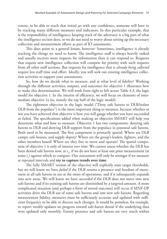course, to be able to reach that initial *yes* with any confidence, someone will have to be tracking many different measures and indicators. In this particular example, that is the responsibility of intelligence; keeping track of the adversary is a big part of what the intelligence section does, so we do not need to worry about setting up the necessary collection and measurement efforts as part of IO assessments.

This does point to a general lesson, however: Sometimes, intelligence is already tracking the things we need to know. The intelligence staff is always heavily tasked and usually receives more requests for information than it can respond to. Requests that require new intelligence collection will compete for priority with such requests from all other staff sections. But requests for intelligence that is *already being collected*  require less staff time and effort*.* Ideally, you will seek out existing intelligence collection activities to support your assessments.

So, how do we decide what to measure, and at what level of fidelity? Working through the different activities, outputs, and outcomes for objective 1 illustrates how to make this determination. We will work from right to left across Table 4.3, the logic model for objective 1. In the interest of efficiency, we will focus on elements of intermediate objective 1a (so, mainly the top half of the logic model).

The rightmost objective in the logic model ("Deny safe havens to DLB/isolate DLB from the populace") is the most important thing to measure, because whether or not you have achieved that objective is how you will gauge whether you have succeeded or failed. The specifications added when making an objective SMART will help you determine what and how to measure. Objective 1 has two components: denying safe havens to DLB and denying DLB support from the populace in potential safe havens. Both need to be measured. The first component is primarily spatial: Where are DLB camps, safe houses, and supply depots? Where are the group's leaders, fighters, and the other members based? Where are they free to move and operate? The spatial component of objective 1 is only of interest *over time*. We cannot assess whether the DLB has been denied safe havens now, at  $t_2$ , if we do not have at least one prior measurement (at some  $t_1$ ) against which to compare. Our assessment will only be stronger if we measure at repeated intervals and **try to capture trends over time**.

The fully SMART version of the objective will explicitly state target thresholds, but we will know we have *failed* if the DLB retains a presence and freedom of movement in all safe havens in use at the onset of operations, and if it subsequently expands into new areas. We will know we have *succeeded* if the DLB does not move into new safe havens and if its existing safe havens are diminished by a targeted amount. A more complicated situation (and perhaps a form of mixed outcome) will occur if MNF-DP activities drive the DLB *out* of some safe havens and *into* new safe havens. Regarding measurement fidelity, measures must be sufficiently accurate and updated with sufficient frequency to be able to discern such changes. It would be pointless, for example, to report weekly updates on progress toward safe-haven denial if the underlying data were updated only monthly. Enemy presence and safe havens are very much within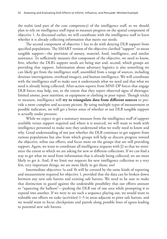the realm (and part of the core competency) of the intelligence staff, so we should plan to rely on intelligence staff input to measure progress on the spatial component of objective 1. As discussed earlier, we will coordinate with the intelligence staff to learn whether it is already collecting information that meets our needs.

The second component of objective 1 has to do with denying DLB support from specified populations. The SMART version of the objective clarified "support" to mean tangible support—the provision of money, materiel, food, intelligence, and similar assistance. To sufficiently measure this component of the objective, we need to know, first, whether the DLB's support needs are being met and, second, which groups are providing that support. Information about adversary logistics is also something we can likely get from the intelligence staff, assembled from a range of sources, including detainee interrogations, overhead imagery, and human intelligence. We will coordinate with the intelligence staff to make sure it understands what we need and that what we need is already being collected. After-action reports from MNF-DP forces that engage DLB forces may help, too, to the extent that they report observed signs of shortages: limited ammo, poor nutrition, or equipment or clothing in poor repair. Though tricky to measure, intelligence will **try to triangulate data from different sources** to provide a more complete and accurate picture. By using multiple types of measurement or possible indicators, we will get a better sense of whether or not DLB tangible support is actually under pressure.

While we expect to get a summary measure from the intelligence staff of support available versus support required and where it is sourced, we will want to work with intelligence personnel to make sure they understand what we really need to know and why. Good understanding of not just whether the DLB continues to get support from various populations but also from which groups will help us discern progress toward the objective, refine our efforts, and focus more on the groups that are still providing support. Again, we want to coordinate all intelligence requests with J2 so that we minimize the extent to which we are asking for new or different collections. If we can find a way to get what we need from information that is already being collected, we are more likely to get it. And, if we limit our requests for new intelligence collection to a very few, very important things, we are more likely to get those, too!

Intermediate objectives 1a and 1b will be covered by the same kinds of reporting and measurement required for objective 1, provided that the data can be broken down between any new safe havens and existing safe havens. We need to be sure to make that distinction to guard against the undesirable possibility that our efforts amount to "squeezing the balloon"—pushing the DLB out of one area while prompting it to expand into another. If we were to see such a sequence playing out, we would want to redouble our efforts on tasks (activities) 1–5 in areas adjacent to prior safe havens, and we would want to focus checkpoints and patrols along possible lines of egress leading to potential new safe havens.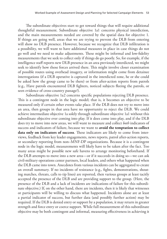The subordinate objectives start to get toward things that will require additional thoughtful measurement. Subordinate objective 1a1 concerns physical interdiction, and the main measurements needed are covered by the spatial data for objective 1. If things are going well, areas that we are trying to prevent the DLB from entering will show no DLB presence. However, because we recognize that DLB infiltration is a possibility, we will want to have additional measures in place in case things do not go well and we need to make adjustments. These might be informal and low-fidelity measurements that we seek to collect only if things do go poorly. So, for example, if the intelligence staff reports new DLB presence in an area previously interdicted, we might seek to identify how those forces arrived there. This might involve closer examination of possible routes using overhead imagery, or information might come from detainee interrogations (if a DLB operative is captured in the interdicted zone, he or she could be asked how the group came to be there) or from after-action reports from patrols (e.g., Have patrols encountered DLB fighters, noticed subjects fleeing the patrols, or seen evidence of cross-country passage?).

Subordinate objective 1a2 concerns specific populations rejecting DLB presence. This is a contingent node in the logic model; that is, it becomes an objective to be measured only if certain other events take place. If the DLB does not try to move into an area, then groups in that area have no opportunity to reject the DLB. We could achieve intermediate objective 1a solely through subordinate objective 1a1 without this subordinate objective ever coming into play. If it does come into play, and if the DLB does try to move into new areas, we will want to measure and collect *both* indicators of success and indicators of failure, because we want to **avoid the temptation to collect data only on indicators of success**. These indicators are likely to come from interviews, feedback from key leader engagements, news reports, patrol after-action reports, or secondary reporting from non–MNF-DP organizations. Because it is a contingent node in the logic model, measurements will likely have to be taken after the fact. Too many areas might be possible new safe havens to arrange monitoring beforehand. If the DLB attempts to move into a new area—or if it succeeds in doing so—we can ask civil-military operations center partners, local leaders, and others what happened when the DLB came into town. Anecdotes from various incidents can be aggregated to create an overall summary. If no incidents of resistance (e.g., fights, demonstrations, shouting matches, threats, calls to tip lines) are reported, then various groups at least tacitly accepted the presence of the DLB and are providing support to the group. (Here, the presence of the DLB and a lack of incidents are indications of failure for this subordinate objective.) If, on the other hand, there are incidents, then it is likely that witnesses or participants will be willing to discuss what happened. Incidents alone are at least a partial indicator of success, but further data (and possibly further action) may be required. If the DLB is denied entry or support by a population, it may return in greater strength and force entry or coerce support. While full measurement of this subordinate objective may be both contingent and informal, measuring effectiveness in achieving it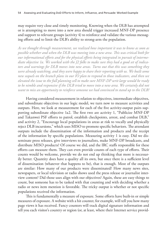may require very close and timely monitoring. Knowing when the DLB has attempted or is attempting to move into a new area should trigger increased MNF-DP presence and support to relevant groups (activity 4) to reinforce and validate the various messaging efforts and to limit the DLB's ability to strong-arm the population.

*As we thought through measurement, we realized how important it was to know as soon as possible whether and when the DLB was moving into a new area. This was critical both for our informational efforts and for the physical efforts being integrated in pursuit of intermediate objective 1a. We worked with the J2 folks to make sure they had a good set of indicators and warnings for DLB moves into new areas. Turns out that this was something they were already watching, and they were happy to share their reporting with us. We built some new sequels on the branch plans in our IO plan to respond to those indicators, and then we elevated the issue to the full planning cell to make sure MNF-DP writ large would be ready to be nimble and responsive if the DLB tried to move into a new area. We certainly did not want to miss an opportunity to reinforce someone we had convinced to stand up to the DLB!*

Having considered measurement in relation to objectives, intermediate objectives, and subordinate objectives in our logic model, we turn now to measure activities and outputs. Here, we look at measurement for each of the five activity-output pairs supporting subordinate objective 1a2. The first two are activity 1, "Publicize MNF-DP and Takanwei PSF efforts to patrol, establish checkpoints, arrest, and combat DLB," and activity 2, "Encourage local populations in areas at risk to vocally and physically reject DLB incursions," which uses MISO to promote specific behaviors. The attendant outputs include the dissemination of the information and products and the receipt of the information by specific populations. Measuring activity 1 is easy. Did we disseminate press releases, give interviews to journalists, make MNF-DP broadcasts, and distribute MISO products? Of course we did, and the IRC staffs responsible for these efforts can measure them. They can even provide counts of each type of efforts. Their counts would be welcome, provide we do not end up thinking that more is necessarily better. Quantity does have a quality all its own, but once there is a sufficient level of dissemination (whatever that happens to be), that is enough. Most of the outputs are similar: How many of our products were disseminated? How many news sites, newspapers, or local television or radio shows used the press release or journalist interview content? Did those uses align with our objectives? Again, these are easy things to count, but someone has to be tasked with that counting and with deciding whether a radio or news item mention is favorable. The tricky output is whether or not specific populations received the information.

This is fundamentally a measure of exposure. Some efforts have built-in or simple measures of exposure. A website with a hit counter, for example, will tell you how many page views it has received. Fancy counters will track digital signature information and tell you each visitor's country or region (or, at least, where their Internet service provid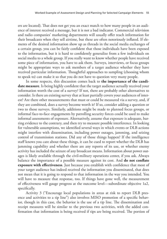ers are located). That does not get you an exact match to how many people in an audience of interest received a message, but it is not a bad indicator. Commercial television and radio companies' marketing departments will usually offer reach information for their broadcasts when they sell airtime, but these are often notoriously inflated. If elements of the desired information show up as threads in the social media exchanges of a certain group, you can be fairly confident that those individuals have been exposed to the information, but it is hard to confidently generalize from a few individuals on social media to a whole group. If you really want to know whether people have received some piece of information, you have to ask them. Surveys, interviews, or focus groups might be appropriate ways to ask members of a target audience whether they have received particular information. Thoughtful approaches to sampling (choosing whom to speak to) can make it so that you do not have to question very many people.

In some respects, this discussion comes back to **the importance of the candidate measure**. Is being highly confident that the target audience actually received your information worth the cost of a survey? If not, there are probably other alternatives to consider. Is there an existing survey that at least partially covers your audiences of interest? Are there other measurements that must or could be measured via a survey, and, if they are combined, does a survey become worth it? If so, consider adding a question or two to those surveys. Similarly, additions might be made to planned focus groups, or informal face-to-face engagements by patrolling security forces could be used to make informal assessments of exposure. Alternatively, assume that exposure is adequate, barring evidence to the contrary, and then try to measure possible interference. In looking for vulnerable assumptions, we identified several ways in which events or DLB actions might interfere with dissemination, including power outages, jamming, and seizing control of transmission stations. Did any of those things happen? If the intelligence staff knows you care about these things, it can be cued to report whether the DLB has jamming capability and whether there are any reports of its use, or whether enemy activity has included the seizure of any broadcast means. Information about power outages is likely available through the civil-military operations center, if you ask. Always balance the importance of a possible measure against its cost. And **do not conflate exposure with effectiveness**. Just because you establish with confidence that most of your target audience has indeed received the information you disseminated, that does not mean that it is going to respond to that information in the way you intended. You will have to measure that response, too. If things have gone well, the measurement of effectiveness will gauge progress at the outcome level—subordinate objective 1a2, specifically.

Activity 3 ("Encourage local populations in areas at risk to report DLB presence and activities to a tip line") also involves MISO promotion of a specific behavior, though in this case, the behavior is the use of a tip line. The dissemination and receipt measures will be similar to the previous two activities, with the added confirmation that information is being received if tips are being received. The portion of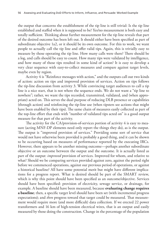the output that concerns the establishment of the tip line is still trivial: Is the tip line established and staffed when it is supposed to be? Yes/no measurement is both easy and totally sufficient. Thinking about further measurement for the tip line reveals that part of the desired outcome has been left out. It should either have been specified as part of subordinate objective 1a2, or it should be its own outcome. For this to work, we want people to actually call the tip line and offer valid tips. Again, this is trivially easy to measure by those operating the tip line. How many calls were there? There should be a log, and calls should be easy to count. How many tips were validated by intelligence, and how many of those tips resulted in some kind of action? It is easy to develop a very clear sequence with easy-to-collect measures and compare against target levels, maybe even by region.

Activity 4 is "Reinforce messages with action," and the outputs call out two kinds of action: action on tips and improved provision of services. Action on tips follows the tip-line discussion from activity 3. While convincing target audiences to call a tip line is a nice start, that is not where the sequence ends. We do not want a "tip line to nowhere"; rather, we want the tips recorded, transmitted, validated, and (when appropriate) acted on. This serves the dual purpose of reducing DLB presence or capabilities (through action) and reinforcing the tip-line use (when tipsters see actions that might have been enabled by their tips). The same chain of measures easily collected as part of the top-line effort that ends with "number of validated tips acted on" is a good output measure for that part of the activity.

The activity for the CA/provision-of-services portion of activity 4 is easy to measure (acting MNF-DP elements need only report the things they do), as is the output. The output is "improved provision of services." Providing some sort of service that would not have otherwise been provided is probably a good thing, and it can be shown to be occurring based on measures of performance reported by the executing IRCs. However, there appears to be another missing outcome—perhaps another subordinate objective or an outcome between the output and the outcome. It is actually listed as part of the output: *improved* provision of services. Improved for whom, and relative to what? Should we be comparing services provided against zero, against the period right before we commenced operations, against our previous period of operations, or against a historical baseline? All have some potential merit but might have different implications for a progress report. What is desired should be part of the SMART review, which is why this point should have been specified as an outcome/objective. Services should have been specified: provision of electricity, sewage service, or drainage, for example. A baseline should have been measured, because **evaluating change requires a baseline**; then, a specific target level should have been set (with incremental progress expectations); and *then* progress toward that target could be measured. That measurement would require more (and more difficult) data collection. If we erected 22 power transformers and 16 km of high-tension electrical wires, that is an output and easily measured by those doing the construction. Change in the percentage of the population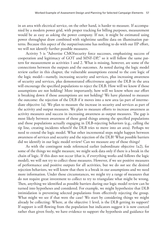in an area with electrical service, on the other hand, is harder to measure. If accompanied by a modern power grid, with proper tracking for billing purposes, measurement would be as easy as asking the power company. If not, it might be estimated using power throughput draw combined with nighttime satellite data on illumination patterns. Because this aspect of the output/outcome has nothing to do with our IIP effort, we will not identify further possible measures.

Activity 5 is "Advertise CMO/security force successes, emphasizing success of cooperation and legitimacy of GOT and MNF-DP," so it will follow the same pattern for measurement as activities 1 and 2. What is missing, however, are some of the connections between the outputs and the outcomes. As noted during the logic model review earlier in this chapter, the vulnerable assumptions extend to the core logic of the logic model—namely, increasing security and services, plus increasing awareness of security and services, plus demonstrated effectiveness against the DLB in the area will encourage the specified populations to reject the DLB. How will we know if those assumptions are not holding? More importantly, how will we know where our effort is breaking down if those assumptions are not holding? We have planned to measure the outcome: the rejection of the DLB if it moves into a new area (as part of intermediate objective 1a). We plan to measure the increase in security and services as part of the activity and output measures. We plan to measure efforts to increase awareness as activity measures and success in increasing awareness as output measures. The gap is most likely between awareness of those good things among the specified populations and those populations actually engaging in DLB-rejecting behaviors (e.g., calling the tip line, creating incidents when/if the DLB tries to move into an area). Perhaps we need to extend the logic model. What other incremental steps might happen between awareness of services and security and the rejection of the DLB? What possible barriers did we identify in our logic model review? Can we measure any of those things?

As with the contingent node referenced earlier (subordinate objective 1a2), for some of the things we might measure, we might seek data only if there is a break in the chain of logic. If this does not occur (that is, if everything works and follows the logic model), we will not try to collect those measures. However, if we see positive measures of performance and positive outputs for all activities, but we do *not* see the desired rejection behaviors, we will know that there is a break in our assumptions and we need more information. Under those circumstances, we might try a range of measures that do not require great investment to collect to try to triangulate what might be wrong. Then, anything we identified as possible barriers during our logic model review can be turned into hypotheses and considered. For example, we might hypothesize that DLB intimidation is preventing selected populations from effectively rejecting the group. What might we see if that were the case? We start by considering things we might already be collecting: Where, at the objective 1 level, is the DLB getting its support? If support is still flowing from the population but indicators suggest it is now coerced rather than given freely, we have evidence to support the hypothesis and guidance for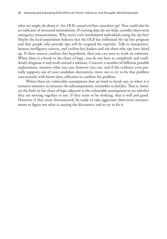what we might do about it. Are DLB-caused civilian casualties up? That could also be an indicator of increased intimidation. If existing data do not help, consider short-term emergency measurements. Why aren't even intimidated individuals using the tip line? Maybe the local population believes that the DLB has infiltrated the tip line program and that people who provide tips will be targeted for reprisals. Talk to interpreters, human intelligence sources, and civilian key leaders and ask them why tips have dried up. If these sources confirm this hypothesis, then you can start to work on solutions. When there is a break in the chain of logic, you do not have to completely and confidently diagnose it and work toward a solution. Conceive a number of different possible explanations, measure what you can, however you can, and if the evidence even partially supports one of your candidate alternatives, move out to try to fix that problem concurrently with better data collection to confirm the problem.

Where there are vulnerable assumptions that are hard to break out, or when it is resource-intensive to measure the subcomponents, remember to *fail fast*. That is, monitor the links in the chain of logic adjacent to the vulnerable assumptions to see whether they are moving together or not. If they seem to be working, that is well and good. However, if they seem disconnected, be ready to take aggressive short-term measurements to figure out what is causing the disconnect and to try to fix it.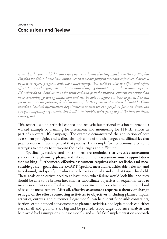*It was hard work and led to some long hours and some shouting matches in the IOWG, but I'm glad we did it. I now have confidence that we are going to meet our objectives, that we'll be able to report progress, and, most importantly, that we'll be able to adjust and refine efforts to meet changing circumstances (and changing assumptions) as the mission requires. I'd rather do the hard work at the front end and plan for strong assessment reporting than have something go wrong midstream and not be able to figure out how to fix it. I've still got to convince the planning lead that some of the things we need measured should be Commander's Critical Information Requirements so that we can get J2 to focus on them, but I've got compelling arguments. The DLB is in trouble; we're going to put the hurt on them. Fnorky, out.*

This report used an artificial context and realistic but fictional mission to provide a worked example of planning for assessment and monitoring for JTF IIP efforts as part of an overall IO campaign. The example demonstrated the application of core assessment principles and walked through some of the challenges and difficulties that practitioners will face as part of that process. The example further demonstrated some strategies to employ to surmount those challenges and difficulties.

Specifically, readers (and practitioners) are reminded that **effective assessment starts in the planning phase**, and, above all else, **assessment must support decisionmaking**. Furthermore, **effective assessment requires clear, realistic, and measurable goals**—goals that are SMART (specific, measurable, achievable, relevant, and time-bound) and specify the observable behaviors sought and at what target threshold. These goals or objectives need to at least imply what failure would look like, and they should be able to be broken into smaller subordinate objectives or sequential steps to make assessment easier. Evaluating progress against these objectives requires some kind of baseline measurement. After all, **effective assessment requires a theory of change or logic of the effort connecting activities to objectives**, including planned inputs, activities, outputs, and outcomes. Logic models can help identify possible constraints, barriers, or unintended consequences to planned activities, and logic models can either start small and grow or start big and be pruned. Good target audience analysis can help avoid bad assumptions in logic models, and a "fail fast" implementation approach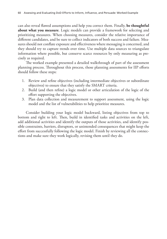can also reveal flawed assumptions and help you correct them. Finally, **be thoughtful about what you measure**. Logic models can provide a framework for selecting and prioritizing measures. When choosing measures, consider the relative importance of different candidates, and be sure to collect indicators of both success and failure. Measures should not conflate exposure and effectiveness where messaging is concerned, and they should try to capture trends over time. Use multiple data sources to triangulate information where possible, but conserve scarce resources by only measuring as precisely as required.

The worked example presented a detailed walkthrough of part of the assessment planning process. Throughout this process, those planning assessments for IIP efforts should follow these steps:

- 1. Review and refine objectives (including intermediate objectives or subordinate objectives) to ensure that they satisfy the SMART criteria.
- 2. Build (and then refine) a logic model or other articulation of the logic of the effort supporting the objectives.
- 3. Plan data collection and measurement to support assessment, using the logic model and the list of vulnerabilities to help prioritize measures.

Consider building your logic model backward, listing objectives from top to bottom and right to left. Then, build in identified tasks and activities on the left, add additional activities and identify the outputs of those activities, and identify possible constraints, barriers, disruptors, or unintended consequences that might keep the effort from successfully following the logic model. Finish by reviewing all the connections and make sure they work logically, revising them until they do.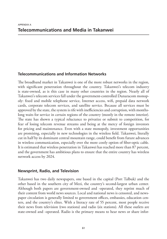## **Telecommunications and Information Networks**

The broadband market in Takanwei is one of the more robust networks in the region, with significant penetration throughout the country. Takanwei's telecom industry is state-owned, as is this case in many other countries in the region. Nearly all of Takanwei's telecom services fall under the government-controlled Dunaracom monopoly: fixed and mobile telephone service, Internet access, wifi, prepaid data network cards, corporate telecom services, and satellite service. Because all services must be approved by the state, the system is rife with inefficiencies and corruption, with monthslong waits for service in certain regions of the country (mostly in the remote interior). The state has shown a typical reluctance to privatize or submit to competition, for fear of losing telecom revenue streams and being at the mercy of foreign investors for pricing and maintenance. Even with a state monopoly, investment opportunities are promising, especially in new technologies in the wireless field. Takanwei, literally cut in half by its dominant central mountain range, could benefit from future advances in wireless communication, especially over the more costly option of fiber-optic cable. It is estimated that wireless penetration in Takanwei has reached more than 87 percent, and the government has ambitious plans to ensure that the entire country has wireless network access by 2024.

## **Newsprint, Radio, and Television**

Takanwei has two daily newspapers, one based in the capital (Port Talbuk) and the other based in the southern city of Mezi, the country's second-largest urban center. Although both papers are government-owned and -operated, they reprint much of their content from world news sources. Local and national news is censored, and newspaper circulation is generally limited to government offices, embassies, education centers, and the country's elites. With a literacy rate of 55 percent, most people receive their news from television (two stations) and radio (six stations). All these outlets are state-owned and -operated. Radio is the primary means to hear news or share infor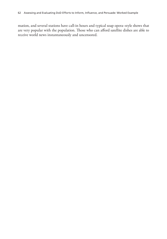mation, and several stations have call-in hours and typical soap opera–style shows that are very popular with the population. Those who can afford satellite dishes are able to receive world news instantaneously and uncensored.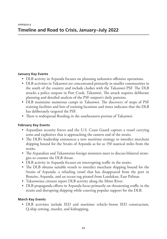#### **January Key Events**

- DLB activity in Arpanda focuses on planning unknown offensive operations.
- DLB activities in Takanwei are concentrated primarily in smaller communities in the south of the country and include clashes with the Takanwei PSF. The DLB attacks a police outpost in Port Cook, Takanwei. The attack requires deliberate planning and detailed analysis of the PSF outpost's daily patterns.
- DLB maintains numerous camps in Takanwei. The discovery of maps of PSF training facilities and lists of training locations and times indicates that the DLB has deliberately targeted the PSF.
- There is widespread flooding in the southeastern portion of Takanwei.

#### **February Key Events**

- Arpandian security forces and the U.S. Coast Guard capture a vessel carrying arms and explosives that is approaching the eastern end of the straits.
- The DLB's leadership announces a new maritime strategy to interdict merchant shipping bound for the Straits of Arpanda as far as 150 nautical miles from the straits.
- The Arpandian and Takanweian foreign ministers meet to discuss bilateral strategies to counter the DLB threat.
- DLB activity in Arpanda focuses on interrupting traffic in the straits.
- The DLB obtains suitable vessels to interdict merchant shipping bound for the Straits of Arpanda: a refueling vessel that has disappeared from the port in Bonaire, Arpanda, and an ocean tug pirated from Landakan, East Polinae.
- Takanweian citizens report DLB activity along the Mimi River.
- DLB propaganda efforts in Arpanda focus primarily on threatening traffic in the straits and disrupting shipping while courting popular support for the DLB.

#### **March Key Events**

• DLB activities include IED and maritime vehicle–borne IED construction, Q-ship arming, murder, and kidnapping.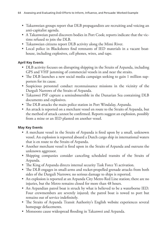- Takanweian groups report that DLB propagandists are recruiting and voicing an anti-capitalist agenda.
- A Takanweian patrol discovers bodies in Port Cook; reports indicate that the victims refused to join the DLB.
- Takanweian citizens report DLB activity along the Mimi River.
- Local police in Blackshores find remnants of IED materials in a vacant boathouse, including explosives, cell phones, wires, and tape.

#### **April Key Events**

- DLB activity focuses on disrupting shipping in the Straits of Arpanda, including GPS and VHF jamming of commercial vessels in and near the straits.
- The DLB launches a new social media campaign seeking to gain 1 million supporters for its cause.
- Suspicious personnel conduct reconnaissance missions in the vicinity of the Darguli Narrows of the Straits of Arpanda.
- Takanwei PSF capture a semisubmersible in the Dunarian Sea containing DLB documents and explosives.
- The DLB attacks the main police station in Port Windalay, Arpanda.
- An attack is reported on a merchant vessel en route to the Straits of Arpanda, but the method of attack cannot be confirmed. Reports suggest an explosion, possibly from a mine or an IED planted on another vessel.

#### **May Key Events**

- A merchant vessel in the Straits of Arpanda is fired upon by a small, unknown vessel. An explosion is reported aboard a Dutch cargo ship in international waters that is en route to the Straits of Arpanda.
- Another merchant vessel is fired upon in the Straits of Arpanda and outruns the unknown aggressor.
- Shipping companies consider canceling scheduled transits of the Straits of Arpanda.
- The King of Arpanda directs internal security Task Force Yi activation.
- The DLB engages in small-arms and rocket-propelled grenade attacks from both sides of the Darguli Narrows; no serious damage to ships is reported.
- An explosion is reported at an Arpanda City Metro Red Line station; there are no injuries, but the Metro remains closed for more than 48 hours.
- An Arpandian patrol boat is struck by what is believed to be a waterborne IED. Four crewmembers are severely injured; the patrol boat is towed to port but remains out of service indefinitely.
- The Straits of Arpanda Transit Authority's English website experiences several homepage defacements.
- Monsoons cause widespread flooding in Takanwei and Arpanda.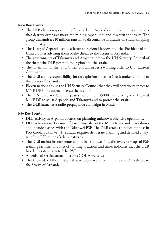### **June Key Events**

- The DLB claims responsibility for attacks in Arpanda and in and near the straits that destroy extensive maritime mining capabilities and threaten the straits. The group demands a \$10 million ransom to discontinue its attacks on straits shipping and industry.
- The King of Arpanda sends a letter to regional leaders and the President of the United States advising them of the threat to the Straits of Arpanda.
- The governments of Takanwei and Arpanda inform the UN Security Council of the threat the DLB poses to the region and the straits.
- The Chairman of the Joint Chiefs of Staff issues a warning order to U.S. Eastern Command.
- The DLB claims responsibility for an explosion aboard a Greek tanker en route to the Straits of Arpanda.
- Eleven nations advise the UN Security Council that they will contribute forces to MNF-DP if the council passes the resolution.
- The UN Security Council passes Resolution 15080 authorizing the U.S.-led MNF-DP to assist Arpanda and Takanwei and to protect the straits.
- The DLB launches a radio propaganda campaign in Mezi.

## **July Key Events**

- DLB activity in Arpanda focuses on planning unknown offensive operations.
- DLB activities in Takanwei focus primarily on the Mimi River and Blackshores and include clashes with the Takanwei PSF. The DLB attacks a police outpost in Port Cook, Takanwei. The attack requires deliberate planning and detailed analysis of the PSF outpost's daily patterns.
- The DLB maintains numerous camps in Takanwei. The discovery of maps of PSF training facilities and lists of training locations and times indicates that the DLB has deliberately targeted the PSF.
- A denial-of-service attack disrupts GOKA websites.
- The U.S.-led MNF-DP states that its objective is to eliminate the DLB threat to the Straits of Arpanda.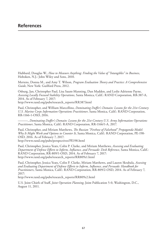Hubbard, Douglas W., *How to Measure Anything: Finding the Value of "Intangibles" in Business*, Hoboken, N.J.: John Wiley and Sons, 2010.

Mertens, Donna M., and Amy T. Wilson, *Program Evaluation Theory and Practice: A Comprehensive Guide*, New York: Guilford Press, 2012.

Osburg, Jan, Christopher Paul, Lisa Saum-Manning, Dan Madden, and Leslie Adrienne Payne, *Assessing Locally Focused Stability Operations*, Santa Monica, Calif.: RAND Corporation, RR-387-A, 2014. As of February 7, 2017: [http://www.rand.org/pubs/research\\_reports/RR387.html](http://www.rand.org/pubs/research_reports/RR387.html)

Paul, Christopher, and William Marcellino, *Dominating Duffer's Domain: Lessons for the 21st-Century* 

*U.S. Marine Corps Information Operations Practitioner*, Santa Monica, Calif.: RAND Corporation, RR-1166-1-OSD, 2016.

———, *Dominating Duffer's Domain: Lessons for the 21st-Century U.S. Army Information Operations Practitioner*, Santa Monica, Calif.: RAND Corporation, RR-1166/1-A, 2017.

Paul, Christopher, and Miriam Matthews, *The Russian "Firehose of Falsehood" Propaganda Model: Why It Might Work and Options to Counter It*, Santa Monica, Calif.: RAND Corporation, PE-198- OSD, 2016. As of February 7, 2017: <http://www.rand.org/pubs/perspectives/PE198.html>

Paul, Christopher, Jessica Yeats, Colin P. Clarke, and Miriam Matthews, *Assessing and Evaluating Department of Defense Efforts to Inform, Influence, and Persuade: Desk Reference*, Santa Monica, Calif.: RAND Corporation, RR-809/1-OSD, 2014. As of February 7, 2017: [http://www.rand.org/pubs/research\\_reports/RR809z1.html](http://www.rand.org/pubs/research_reports/RR809z1.html)

Paul, Christopher, Jessica Yeats, Colin P. Clarke, Miriam Matthews, and Lauren Skrabala, *Assessing and Evaluating Department of Defense Efforts to Inform, Influence, and Persuade: Handbook for Practitioners*, Santa Monica, Calif.: RAND Corporation, RR-809/2-OSD, 2014. As of February 7, 2017:

[http://www.rand.org/pubs/research\\_reports/RR809z2.html](http://www.rand.org/pubs/research_reports/RR809z2.html)

U.S. Joint Chiefs of Staff, *Joint Operation Planning*, Joint Publication 5-0, Washington, D.C., August 11, 2011.